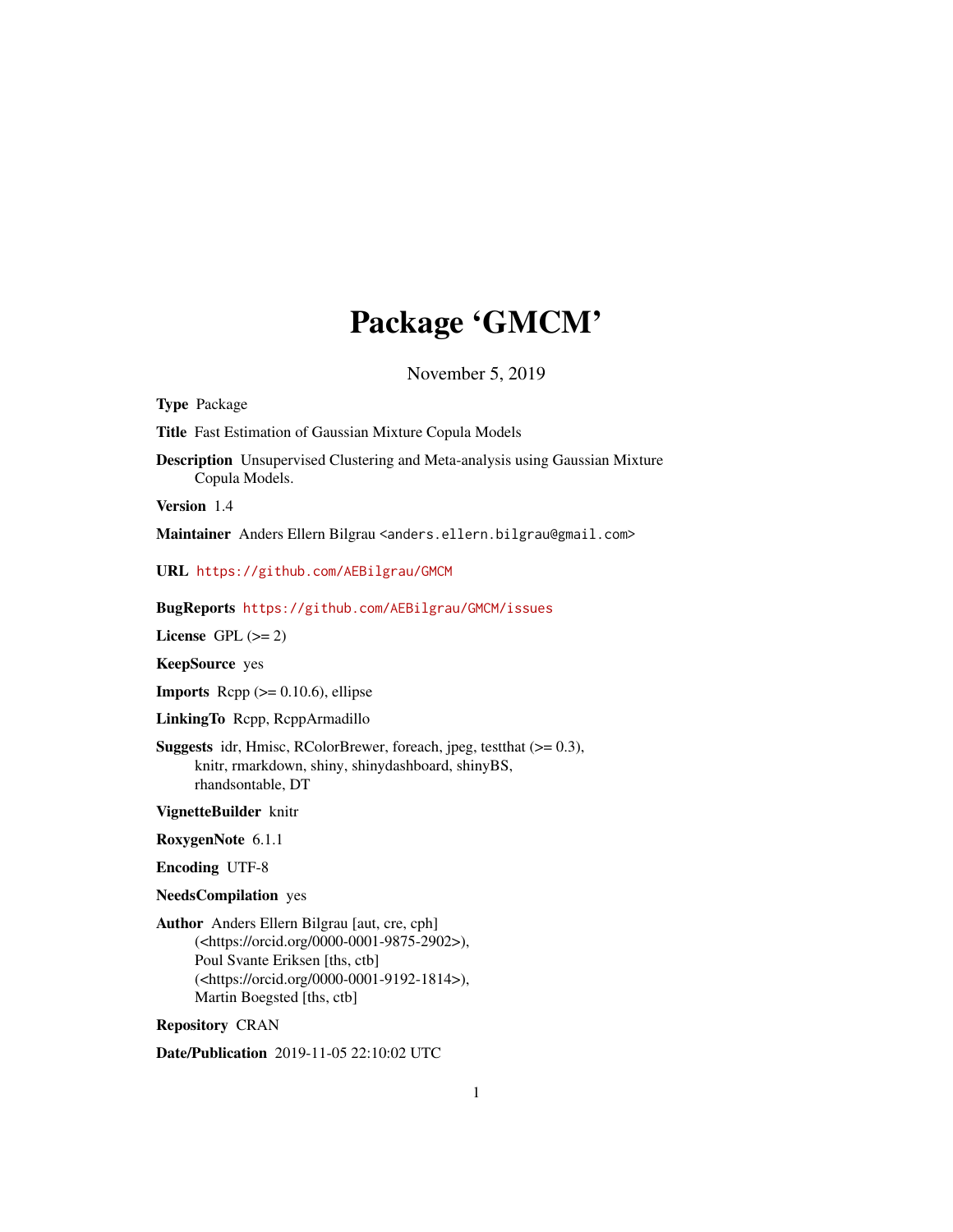# Package 'GMCM'

November 5, 2019

<span id="page-0-0"></span>Type Package

Title Fast Estimation of Gaussian Mixture Copula Models

Description Unsupervised Clustering and Meta-analysis using Gaussian Mixture Copula Models.

Version 1.4

Maintainer Anders Ellern Bilgrau <anders.ellern.bilgrau@gmail.com>

URL <https://github.com/AEBilgrau/GMCM>

BugReports <https://github.com/AEBilgrau/GMCM/issues>

License GPL  $(>= 2)$ 

KeepSource yes

**Imports** Rcpp  $(>= 0.10.6)$ , ellipse

LinkingTo Rcpp, RcppArmadillo

Suggests idr, Hmisc, RColorBrewer, foreach, jpeg, testthat (>= 0.3), knitr, rmarkdown, shiny, shinydashboard, shinyBS, rhandsontable, DT

VignetteBuilder knitr

RoxygenNote 6.1.1

Encoding UTF-8

NeedsCompilation yes

Author Anders Ellern Bilgrau [aut, cre, cph] (<https://orcid.org/0000-0001-9875-2902>), Poul Svante Eriksen [ths, ctb] (<https://orcid.org/0000-0001-9192-1814>), Martin Boegsted [ths, ctb]

Repository CRAN

Date/Publication 2019-11-05 22:10:02 UTC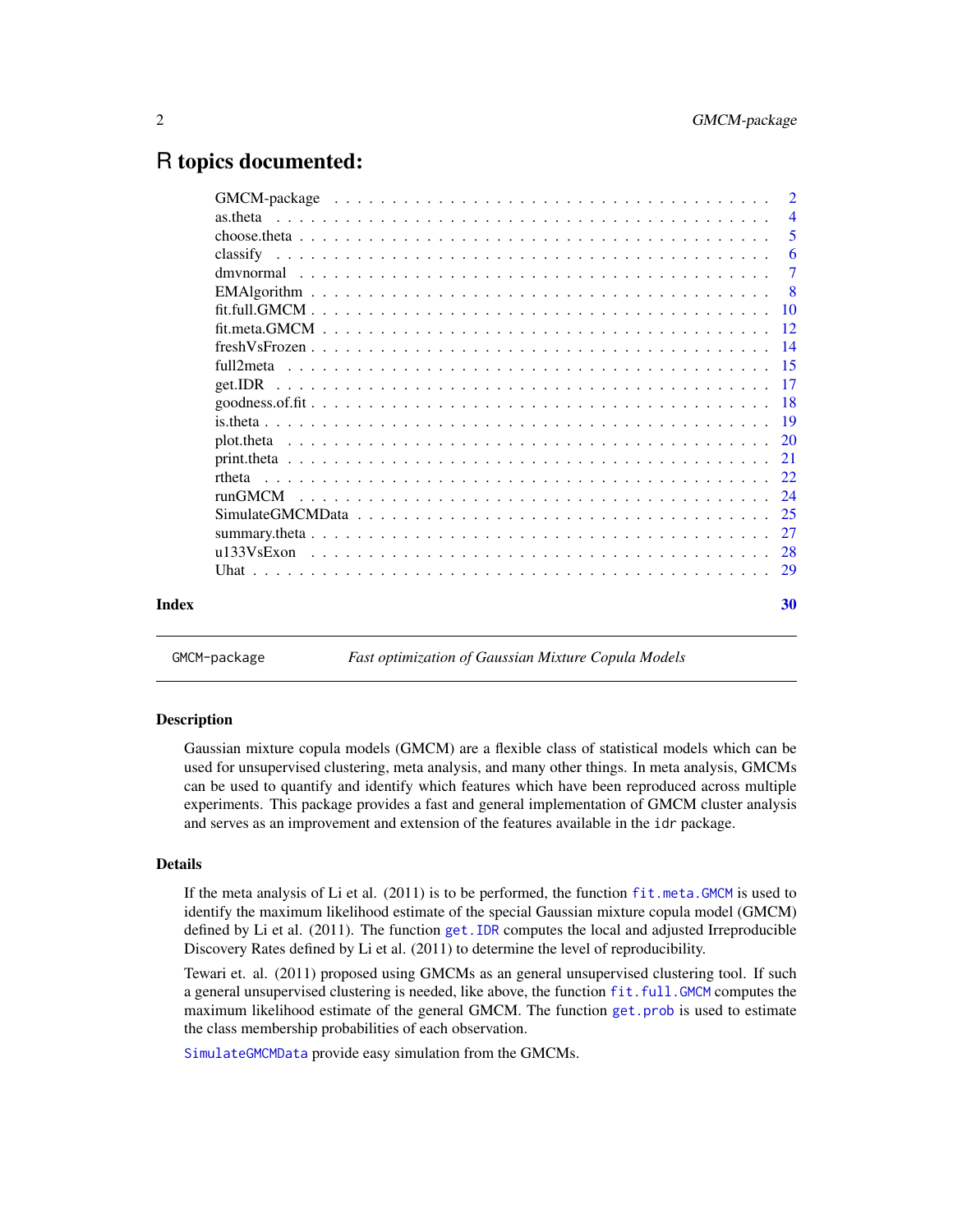# <span id="page-1-0"></span>R topics documented:

|  | $\mathcal{D}$  |
|--|----------------|
|  | $\overline{4}$ |
|  | -5             |
|  | -6             |
|  | $\overline{7}$ |
|  | - 8            |
|  |                |
|  |                |
|  |                |
|  |                |
|  |                |
|  |                |
|  |                |
|  |                |
|  |                |
|  |                |
|  |                |
|  |                |
|  |                |
|  |                |
|  |                |
|  | 30             |

GMCM-package *Fast optimization of Gaussian Mixture Copula Models*

#### Description

Gaussian mixture copula models (GMCM) are a flexible class of statistical models which can be used for unsupervised clustering, meta analysis, and many other things. In meta analysis, GMCMs can be used to quantify and identify which features which have been reproduced across multiple experiments. This package provides a fast and general implementation of GMCM cluster analysis and serves as an improvement and extension of the features available in the idr package.

# Details

If the meta analysis of Li et al. (2011) is to be performed, the function [fit.meta.GMCM](#page-11-1) is used to identify the maximum likelihood estimate of the special Gaussian mixture copula model (GMCM) defined by Li et al. (2011). The function [get.IDR](#page-16-1) computes the local and adjusted Irreproducible Discovery Rates defined by Li et al. (2011) to determine the level of reproducibility.

Tewari et. al. (2011) proposed using GMCMs as an general unsupervised clustering tool. If such a general unsupervised clustering is needed, like above, the function [fit.full.GMCM](#page-9-1) computes the maximum likelihood estimate of the general GMCM. The function [get.prob](#page-16-2) is used to estimate the class membership probabilities of each observation.

[SimulateGMCMData](#page-24-1) provide easy simulation from the GMCMs.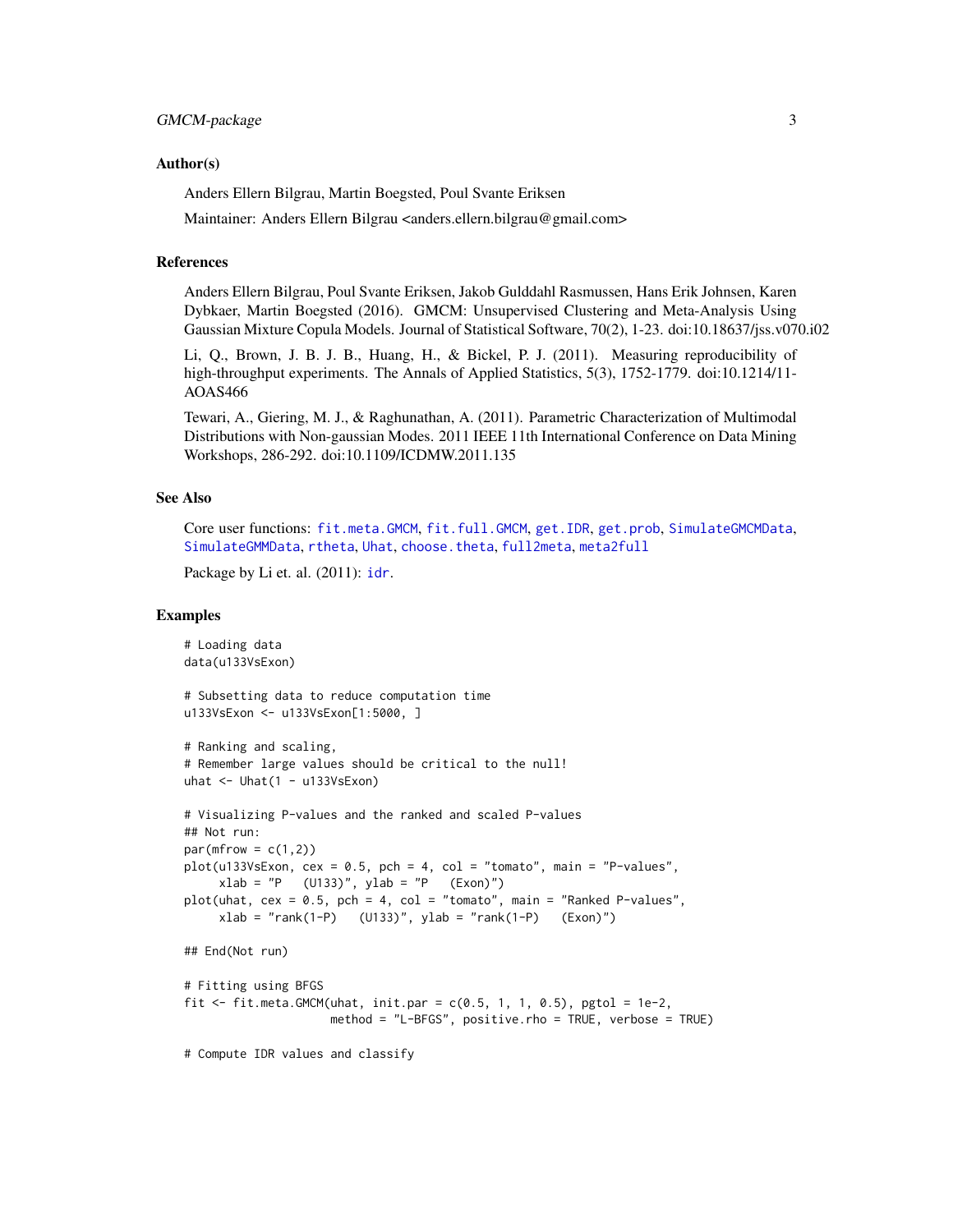#### <span id="page-2-0"></span>Author(s)

Anders Ellern Bilgrau, Martin Boegsted, Poul Svante Eriksen

Maintainer: Anders Ellern Bilgrau <anders.ellern.bilgrau@gmail.com>

#### References

Anders Ellern Bilgrau, Poul Svante Eriksen, Jakob Gulddahl Rasmussen, Hans Erik Johnsen, Karen Dybkaer, Martin Boegsted (2016). GMCM: Unsupervised Clustering and Meta-Analysis Using Gaussian Mixture Copula Models. Journal of Statistical Software, 70(2), 1-23. doi:10.18637/jss.v070.i02

Li, Q., Brown, J. B. J. B., Huang, H., & Bickel, P. J. (2011). Measuring reproducibility of high-throughput experiments. The Annals of Applied Statistics, 5(3), 1752-1779. doi:10.1214/11-AOAS466

Tewari, A., Giering, M. J., & Raghunathan, A. (2011). Parametric Characterization of Multimodal Distributions with Non-gaussian Modes. 2011 IEEE 11th International Conference on Data Mining Workshops, 286-292. doi:10.1109/ICDMW.2011.135

#### See Also

Core user functions: [fit.meta.GMCM](#page-11-1), [fit.full.GMCM](#page-9-1), [get.IDR](#page-16-1), [get.prob](#page-16-2), [SimulateGMCMData](#page-24-1), [SimulateGMMData](#page-24-2), [rtheta](#page-21-1), [Uhat](#page-28-1), [choose.theta](#page-4-1), [full2meta](#page-14-1), [meta2full](#page-14-2)

Package by Li et. al. (2011): [idr](#page-0-0).

```
# Loading data
data(u133VsExon)
# Subsetting data to reduce computation time
u133VsExon <- u133VsExon[1:5000, ]
# Ranking and scaling,
# Remember large values should be critical to the null!
uhat \leq Uhat(1 - u133VsExon)
# Visualizing P-values and the ranked and scaled P-values
## Not run:
par(mfrow = c(1,2))plot(u133VsExon, cex = 0.5, pch = 4, col = "tomato", main = "P-values",xlab = "P (U133)", ylab = "P (Exon)"plot(uhat, cex = 0.5, pch = 4, col = "tomato", main = "Ranked P-values",
     xlab = "rank(1-P) (U133)", ylab = "rank(1-P) (Exon)")
## End(Not run)
# Fitting using BFGS
fit \le fit.meta.GMCM(uhat, init.par = c(0.5, 1, 1, 0.5), pgtol = 1e-2,
                     method = "L-BFGS", positive.rho = TRUE, verbose = TRUE)
# Compute IDR values and classify
```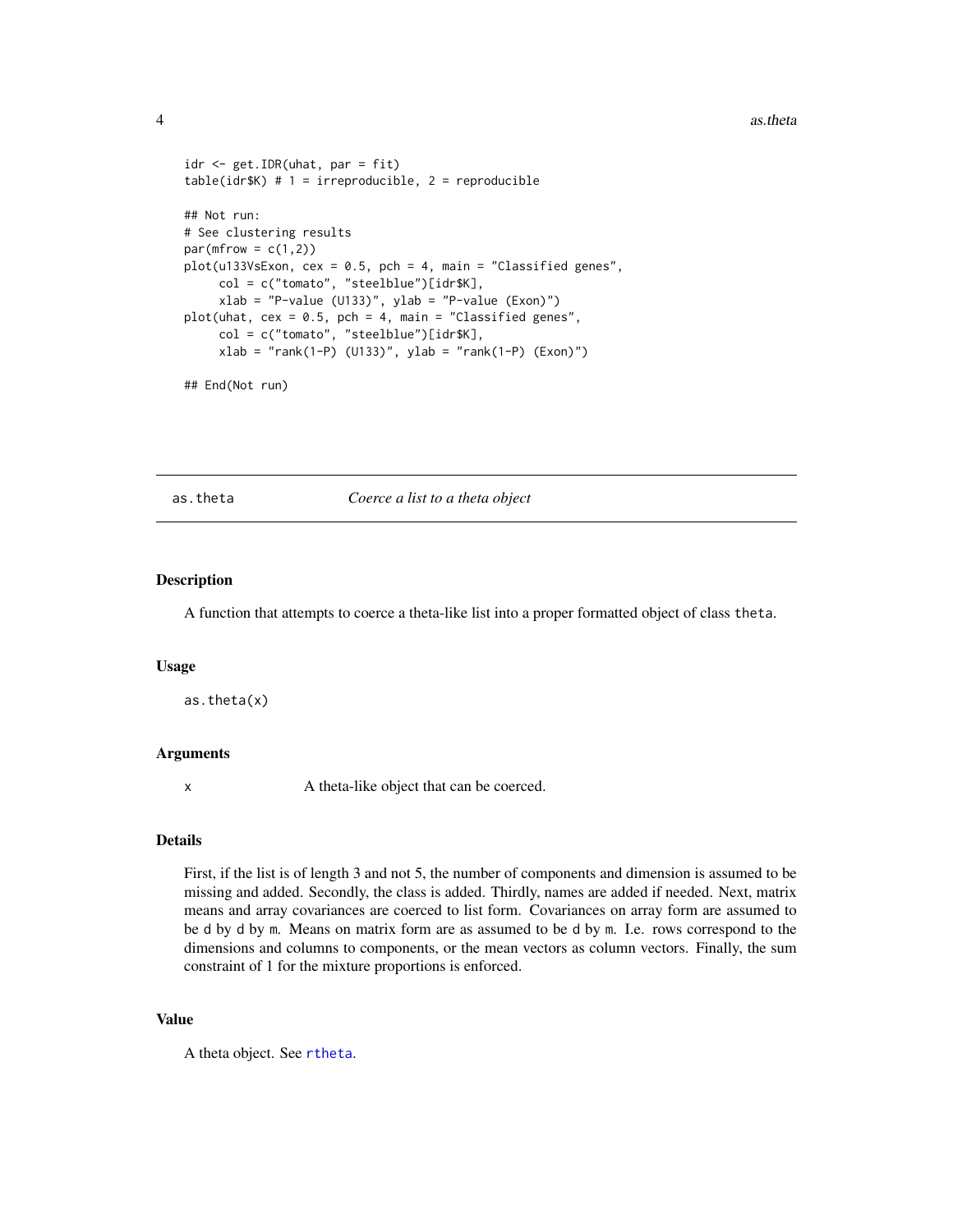#### <span id="page-3-0"></span>4 as. theta as the task of the state of the state of the state of the state of the state of the state of the state of the state of the state of the state of the state of the state of the state of the state of the state of

```
idr <- get.IDR(uhat, par = fit)
table(idr$K) # 1 = irreproducible, 2 = reproducible
## Not run:
# See clustering results
par(mfrow = c(1,2))plot(u133VsExon, cex = 0.5, pch = 4, main = "Classified genes",col = c("tomato", "steelblue")[idr$K],
     xlab = "P-value (U133)", ylab = "P-value (Exon)"plot(uhat, cex = 0.5, pch = 4, main = "Classified genes",
     col = c("tomato", "steelblue")[idr$K],
     xlab = "rank(1-P) (U133)", ylab = "rank(1-P) (Exon)")
```
## End(Not run)

as.theta *Coerce a list to a theta object*

#### Description

A function that attempts to coerce a theta-like list into a proper formatted object of class theta.

#### Usage

as.theta(x)

#### Arguments

x A theta-like object that can be coerced.

# Details

First, if the list is of length 3 and not 5, the number of components and dimension is assumed to be missing and added. Secondly, the class is added. Thirdly, names are added if needed. Next, matrix means and array covariances are coerced to list form. Covariances on array form are assumed to be d by d by m. Means on matrix form are as assumed to be d by m. I.e. rows correspond to the dimensions and columns to components, or the mean vectors as column vectors. Finally, the sum constraint of 1 for the mixture proportions is enforced.

# Value

A theta object. See [rtheta](#page-21-1).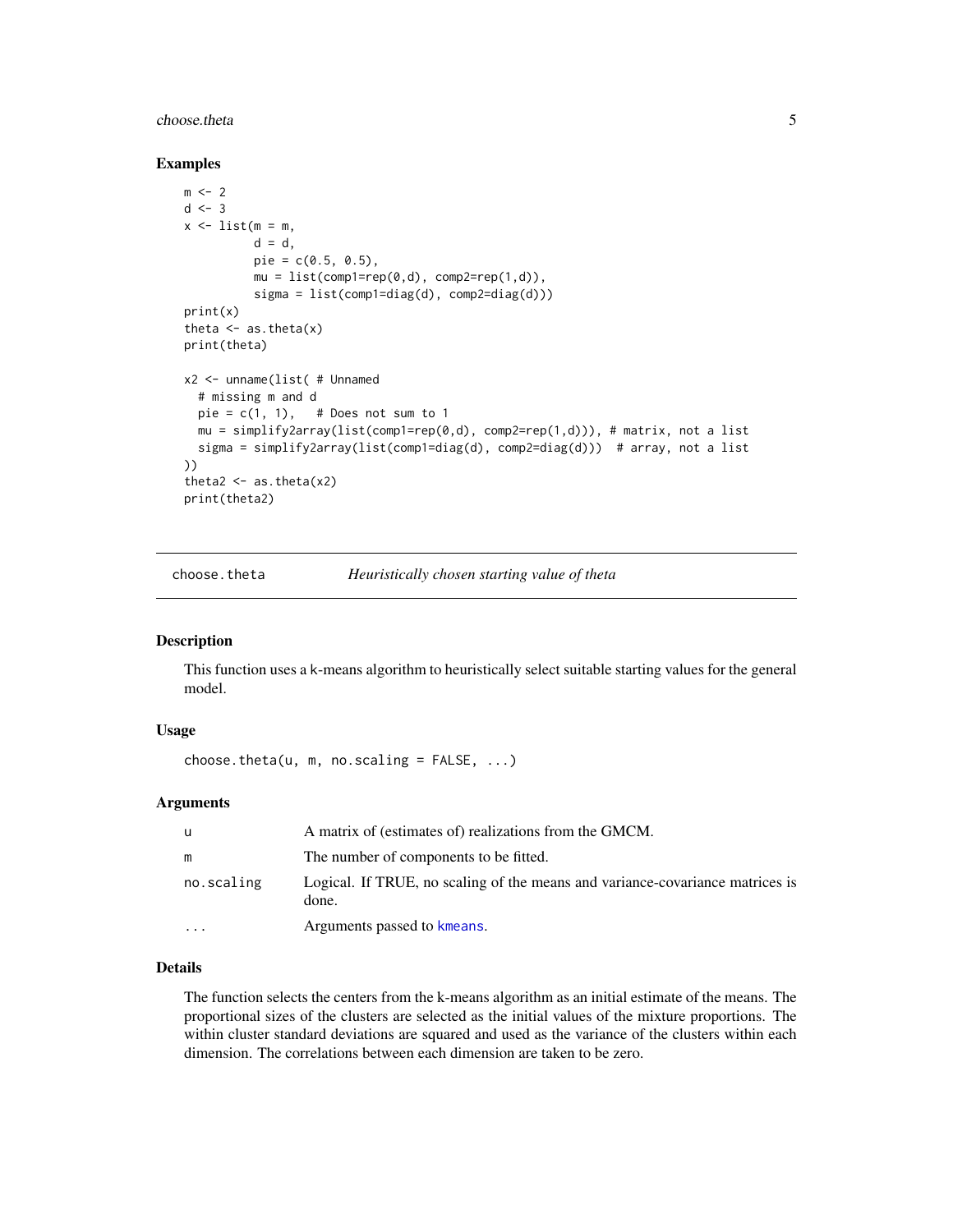#### <span id="page-4-0"></span>choose.theta 5

#### Examples

```
m < -2d \le -3x \le -\text{list}(m = m)d = d,
          pie = c(0.5, 0.5),
          mu = list(comp1=rep(0,d), comp2=rep(1,d)),sigma = list(comp1=diag(d), comp2=diag(d)))
print(x)
theta \leq as. theta(x)print(theta)
x2 <- unname(list( # Unnamed
  # missing m and d
  pie = c(1, 1), # Does not sum to 1
  mu = simplify2array(list(comp1=rep(0,d), comp2=rep(1,d))), # matrix, not a list
  sigma = simplify2array(list(comp1=diag(d), comp2=diag(d))) # array, not a list
))
theta2 \leftarrow as.theta(x2)
print(theta2)
```
<span id="page-4-1"></span>choose.theta *Heuristically chosen starting value of theta*

# Description

This function uses a k-means algorithm to heuristically select suitable starting values for the general model.

#### Usage

```
choose.theta(u, m, no.scaling = FALSE, \dots)
```
#### Arguments

| u          | A matrix of (estimates of) realizations from the GMCM.                                 |
|------------|----------------------------------------------------------------------------------------|
| m          | The number of components to be fitted.                                                 |
| no.scaling | Logical. If TRUE, no scaling of the means and variance-covariance matrices is<br>done. |
| $\cdot$    | Arguments passed to kmeans.                                                            |

# Details

The function selects the centers from the k-means algorithm as an initial estimate of the means. The proportional sizes of the clusters are selected as the initial values of the mixture proportions. The within cluster standard deviations are squared and used as the variance of the clusters within each dimension. The correlations between each dimension are taken to be zero.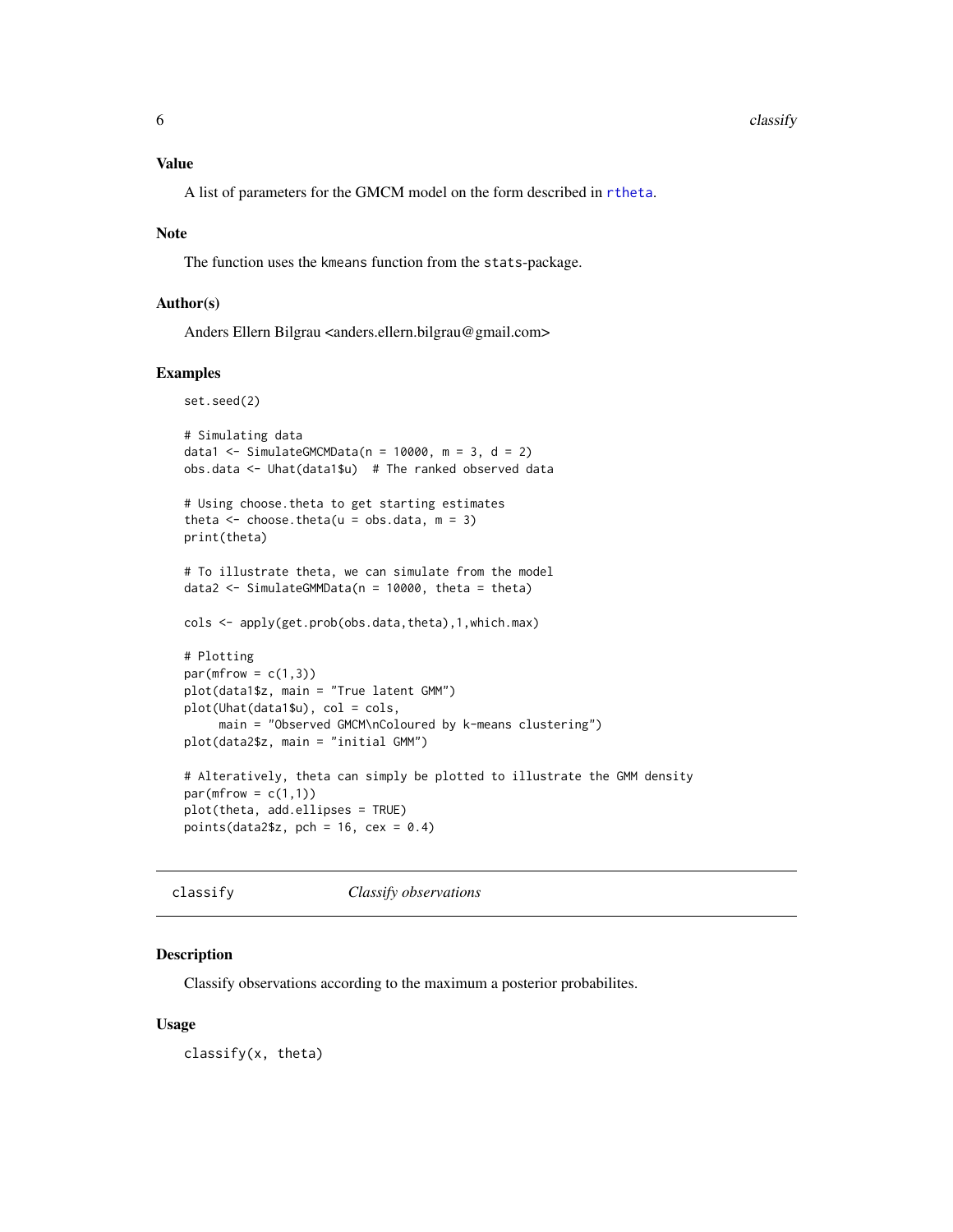<span id="page-5-0"></span>A list of parameters for the GMCM model on the form described in [rtheta](#page-21-1).

#### Note

The function uses the kmeans function from the stats-package.

#### Author(s)

Anders Ellern Bilgrau <anders.ellern.bilgrau@gmail.com>

#### Examples

```
set.seed(2)
# Simulating data
data1 <- SimulateGMCMData(n = 10000, m = 3, d = 2)
obs.data <- Uhat(data1$u) # The ranked observed data
# Using choose.theta to get starting estimates
theta \leq choose.theta(u = obs.data, m = 3)
print(theta)
# To illustrate theta, we can simulate from the model
data2 <- SimulateGMMData(n = 10000, theta = theta)
cols <- apply(get.prob(obs.data,theta),1,which.max)
# Plotting
par(mfrow = c(1,3))plot(data1$z, main = "True latent GMM")
plot(Uhat(data1$u), col = cols,
     main = "Observed GMCM\nColoured by k-means clustering")
plot(data2$z, main = "initial GMM")
# Alteratively, theta can simply be plotted to illustrate the GMM density
par(mfrow = c(1,1))plot(theta, add.ellipses = TRUE)
points(data2$z, pch = 16, cex = 0.4)
```
classify *Classify observations*

#### Description

Classify observations according to the maximum a posterior probabilites.

#### Usage

classify(x, theta)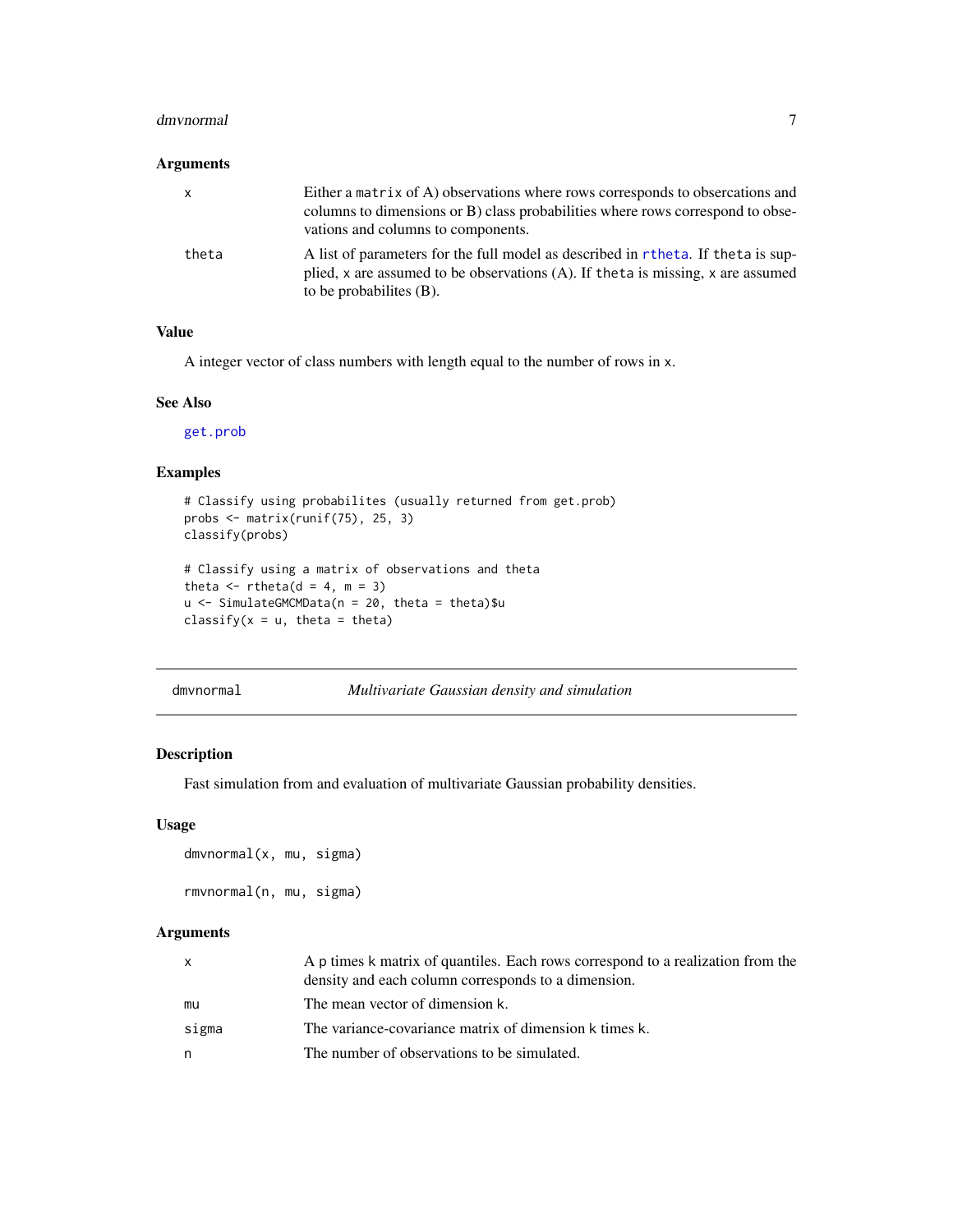#### <span id="page-6-0"></span>dmvnormal **7**

#### Arguments

| $\mathsf{X}$ | Either a matrix of A) observations where rows corresponds to obsercations and<br>columns to dimensions or B) class probabilities where rows correspond to obse-<br>vations and columns to components. |
|--------------|-------------------------------------------------------------------------------------------------------------------------------------------------------------------------------------------------------|
| theta        | A list of parameters for the full model as described in rtheta. If theta is sup-<br>plied, x are assumed to be observations (A). If theta is missing, x are assumed<br>to be probabilities $(B)$ .    |

# Value

A integer vector of class numbers with length equal to the number of rows in x.

#### See Also

[get.prob](#page-16-2)

# Examples

```
# Classify using probabilites (usually returned from get.prob)
probs <- matrix(runif(75), 25, 3)
classify(probs)
# Classify using a matrix of observations and theta
theta \leq rtheta(d = 4, m = 3)
u <- SimulateGMCMData(n = 20, theta = theta)$u
```

```
classify(x = u, theta = theta)
```
dmvnormal *Multivariate Gaussian density and simulation*

#### Description

Fast simulation from and evaluation of multivariate Gaussian probability densities.

#### Usage

```
dmvnormal(x, mu, sigma)
rmvnormal(n, mu, sigma)
```
# Arguments

| $\mathsf{X}$ | A p times k matrix of quantiles. Each rows correspond to a realization from the<br>density and each column corresponds to a dimension. |
|--------------|----------------------------------------------------------------------------------------------------------------------------------------|
| mu           | The mean vector of dimension k.                                                                                                        |
| sigma        | The variance-covariance matrix of dimension k times k.                                                                                 |
| n            | The number of observations to be simulated.                                                                                            |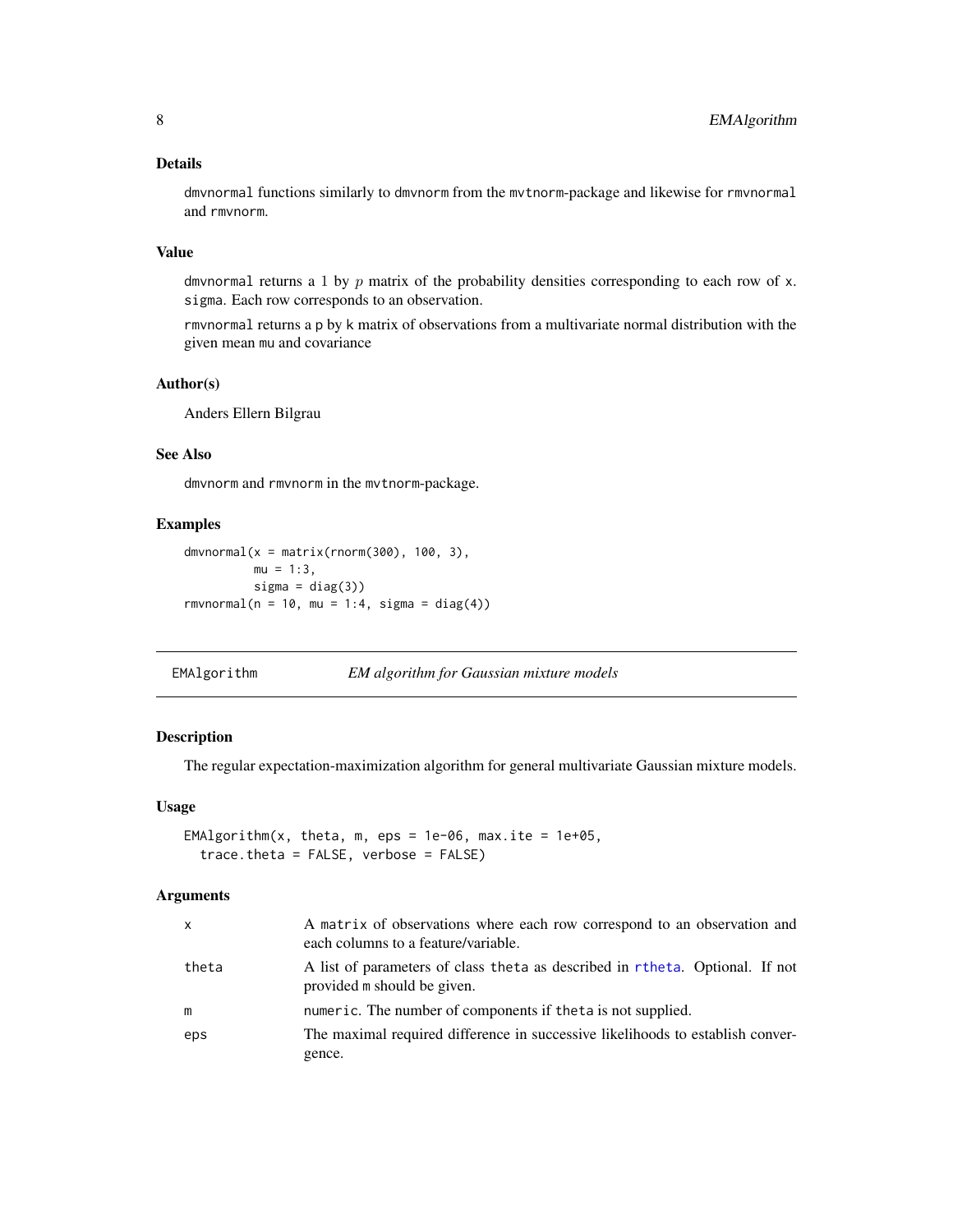# <span id="page-7-0"></span>Details

dmvnormal functions similarly to dmvnorm from the mvtnorm-package and likewise for rmvnormal and rmvnorm.

#### Value

dmvnormal returns a 1 by  $p$  matrix of the probability densities corresponding to each row of  $x$ . sigma. Each row corresponds to an observation.

rmvnormal returns a p by k matrix of observations from a multivariate normal distribution with the given mean mu and covariance

# Author(s)

Anders Ellern Bilgrau

# See Also

dmvnorm and rmvnorm in the mvtnorm-package.

#### Examples

```
dmvnormal(x = matrix(rnorm(300), 100, 3),mu = 1:3,
         signa = diag(3))rmvnormal(n = 10, mu = 1:4, sigma = diag(4))
```
EMAlgorithm *EM algorithm for Gaussian mixture models*

# Description

The regular expectation-maximization algorithm for general multivariate Gaussian mixture models.

### Usage

```
EMAlgorithm(x, theta, m, eps = 1e-06, max.ite = 1e+05,
  trace.theta = FALSE, verbose = FALSE)
```
#### Arguments

| $\mathsf{x}$ | A matrix of observations where each row correspond to an observation and<br>each columns to a feature/variable. |
|--------------|-----------------------------------------------------------------------------------------------------------------|
| theta        | A list of parameters of class theta as described in rtheta. Optional. If not<br>provided m should be given.     |
| m            | numeric. The number of components if the ta is not supplied.                                                    |
| eps          | The maximal required difference in successive likelihoods to establish conver-                                  |
|              | gence.                                                                                                          |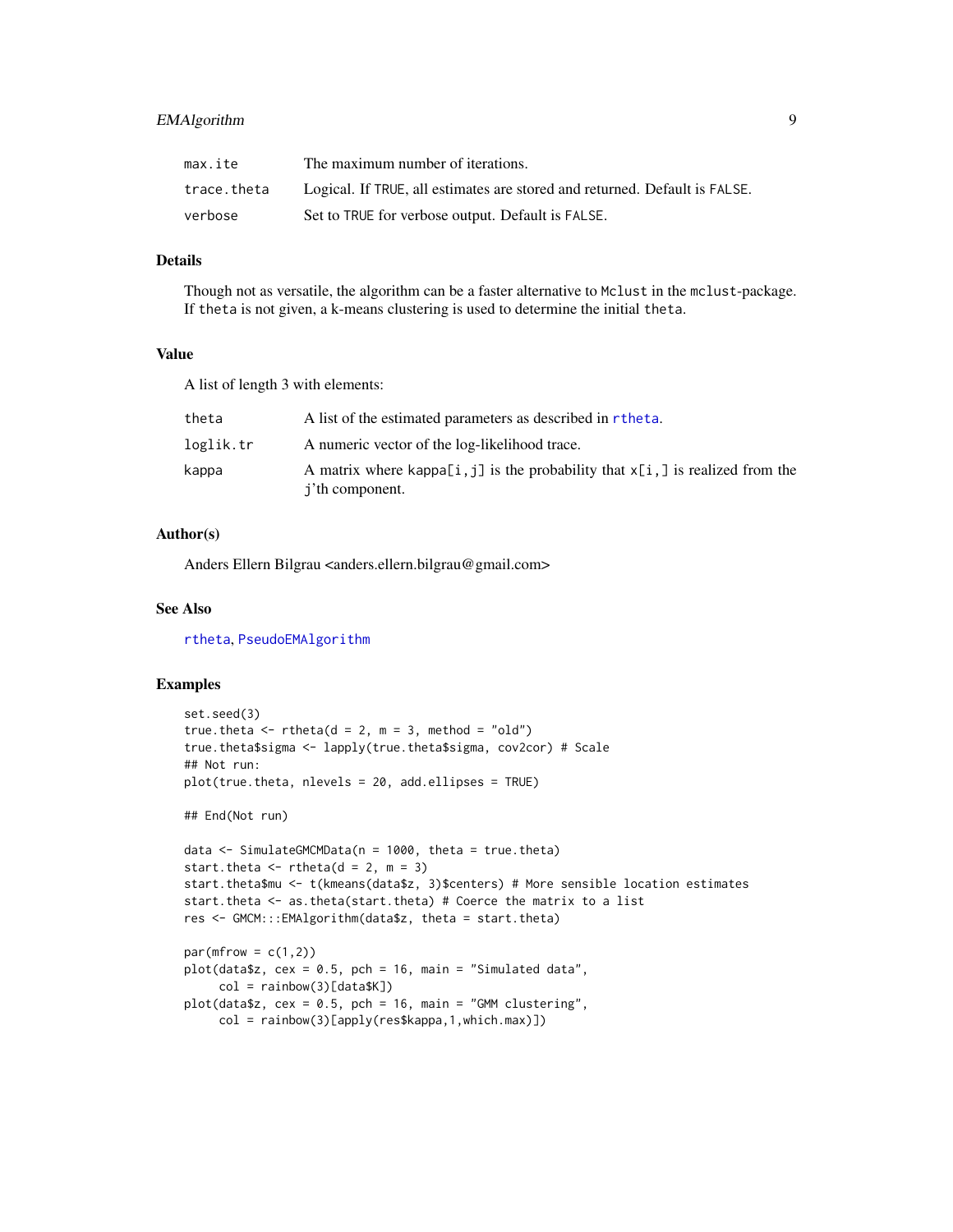# <span id="page-8-0"></span>EMAlgorithm 9

| max.ite     | The maximum number of iterations.                                          |
|-------------|----------------------------------------------------------------------------|
| trace.theta | Logical. If TRUE, all estimates are stored and returned. Default is FALSE. |
| verbose     | Set to TRUE for verbose output. Default is FALSE.                          |

# Details

Though not as versatile, the algorithm can be a faster alternative to Mclust in the mclust-package. If theta is not given, a k-means clustering is used to determine the initial theta.

# Value

A list of length 3 with elements:

| theta     | A list of the estimated parameters as described in rtheta.                                                    |
|-----------|---------------------------------------------------------------------------------------------------------------|
| loglik.tr | A numeric vector of the log-likelihood trace.                                                                 |
| kappa     | A matrix where kappa [i, j] is the probability that $x[i, j]$ is realized from the<br><i>i</i> 'th component. |

# Author(s)

Anders Ellern Bilgrau <anders.ellern.bilgrau@gmail.com>

# See Also

[rtheta](#page-21-1), [PseudoEMAlgorithm](#page-0-0)

```
set.seed(3)
true.theta \leq rtheta(d = 2, m = 3, method = "old")
true.theta$sigma <- lapply(true.theta$sigma, cov2cor) # Scale
## Not run:
plot(true.theta, nlevels = 20, add.ellipses = TRUE)
## End(Not run)
data \le SimulateGMCMData(n = 1000, theta = true.theta)
start.theta \leq rtheta(d = 2, m = 3)
start.theta$mu <- t(kmeans(data$z, 3)$centers) # More sensible location estimates
start.theta <- as.theta(start.theta) # Coerce the matrix to a list
res <- GMCM:::EMAlgorithm(data$z, theta = start.theta)
par(mfrow = c(1,2))plot(data$z, cex = 0.5, pch = 16, main = "Simulated data",col = rainbow(3)[data$K])
plot(data$z, cex = 0.5, pch = 16, main = "GMM clustering",col = rainbow(3)[apply(res$kappa,1,which.max)])
```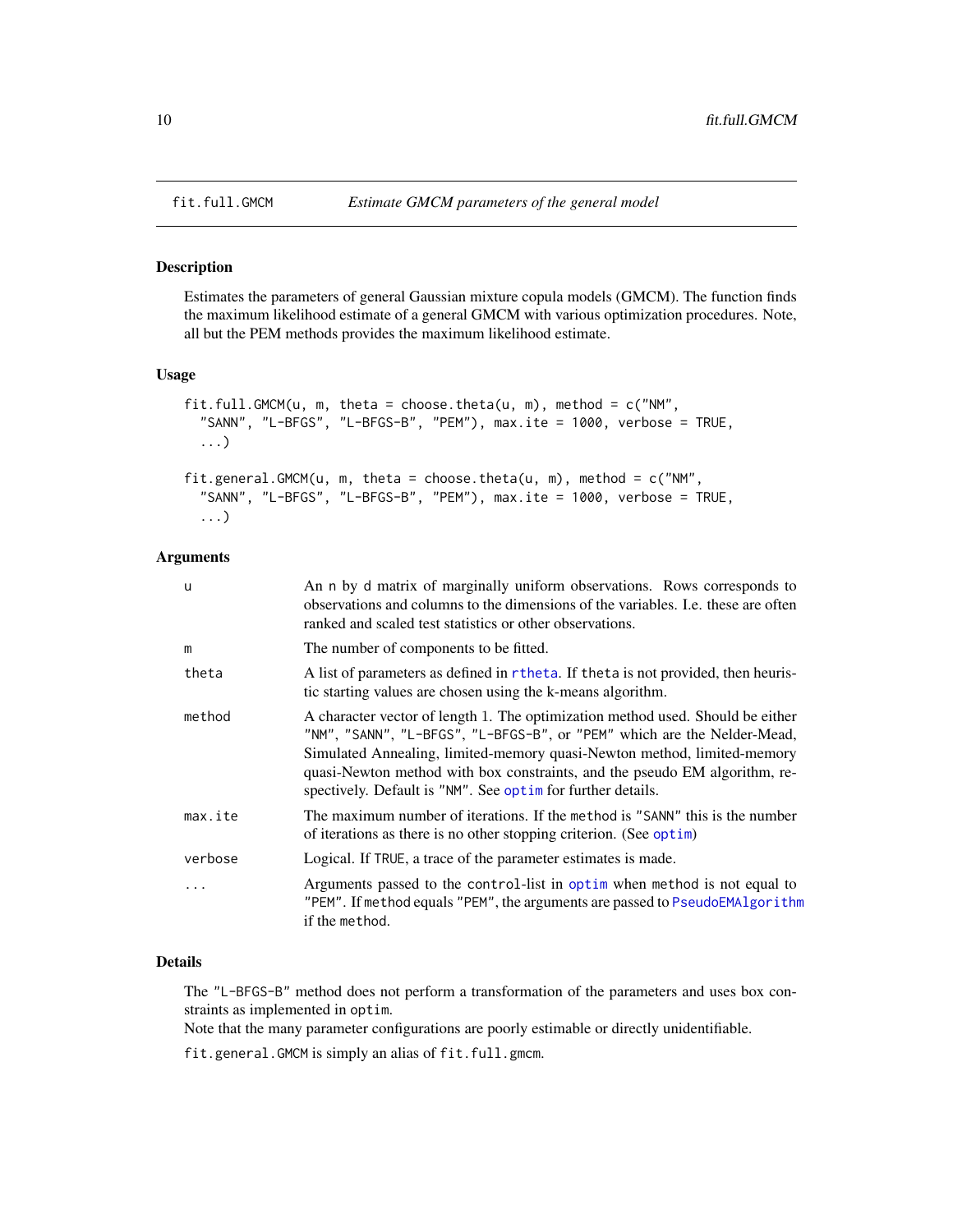<span id="page-9-1"></span><span id="page-9-0"></span>

#### Description

Estimates the parameters of general Gaussian mixture copula models (GMCM). The function finds the maximum likelihood estimate of a general GMCM with various optimization procedures. Note, all but the PEM methods provides the maximum likelihood estimate.

# Usage

```
fit.full.GMCM(u, m, theta = choose.theta(u, m), method = c("NM","SANN", "L-BFGS", "L-BFGS-B", "PEM"), max.ite = 1000, verbose = TRUE,
  ...)
fit.general.GMCM(u, m, theta = choose.theta(u, m), method = c("NM","SANN", "L-BFGS", "L-BFGS-B", "PEM"), max.ite = 1000, verbose = TRUE,
  ...)
```
#### Arguments

| u       | An n by d matrix of marginally uniform observations. Rows corresponds to<br>observations and columns to the dimensions of the variables. I.e. these are often<br>ranked and scaled test statistics or other observations.                                                                                                                                                          |
|---------|------------------------------------------------------------------------------------------------------------------------------------------------------------------------------------------------------------------------------------------------------------------------------------------------------------------------------------------------------------------------------------|
| m       | The number of components to be fitted.                                                                                                                                                                                                                                                                                                                                             |
| theta   | A list of parameters as defined in r the tail. If the tais not provided, then heuris-<br>tic starting values are chosen using the k-means algorithm.                                                                                                                                                                                                                               |
| method  | A character vector of length 1. The optimization method used. Should be either<br>"NM", "SANN", "L-BFGS", "L-BFGS-B", or "PEM" which are the Nelder-Mead,<br>Simulated Annealing, limited-memory quasi-Newton method, limited-memory<br>quasi-Newton method with box constraints, and the pseudo EM algorithm, re-<br>spectively. Default is "NM". See optime for further details. |
| max.ite | The maximum number of iterations. If the method is "SANN" this is the number<br>of iterations as there is no other stopping criterion. (See optim)                                                                                                                                                                                                                                 |
| verbose | Logical. If TRUE, a trace of the parameter estimates is made.                                                                                                                                                                                                                                                                                                                      |
| $\cdot$ | Arguments passed to the control-list in optim when method is not equal to<br>"PEM". If method equals "PEM", the arguments are passed to PseudoEMAlgorithm<br>if the method.                                                                                                                                                                                                        |

# Details

The "L-BFGS-B" method does not perform a transformation of the parameters and uses box constraints as implemented in optim.

Note that the many parameter configurations are poorly estimable or directly unidentifiable.

fit.general.GMCM is simply an alias of fit.full.gmcm.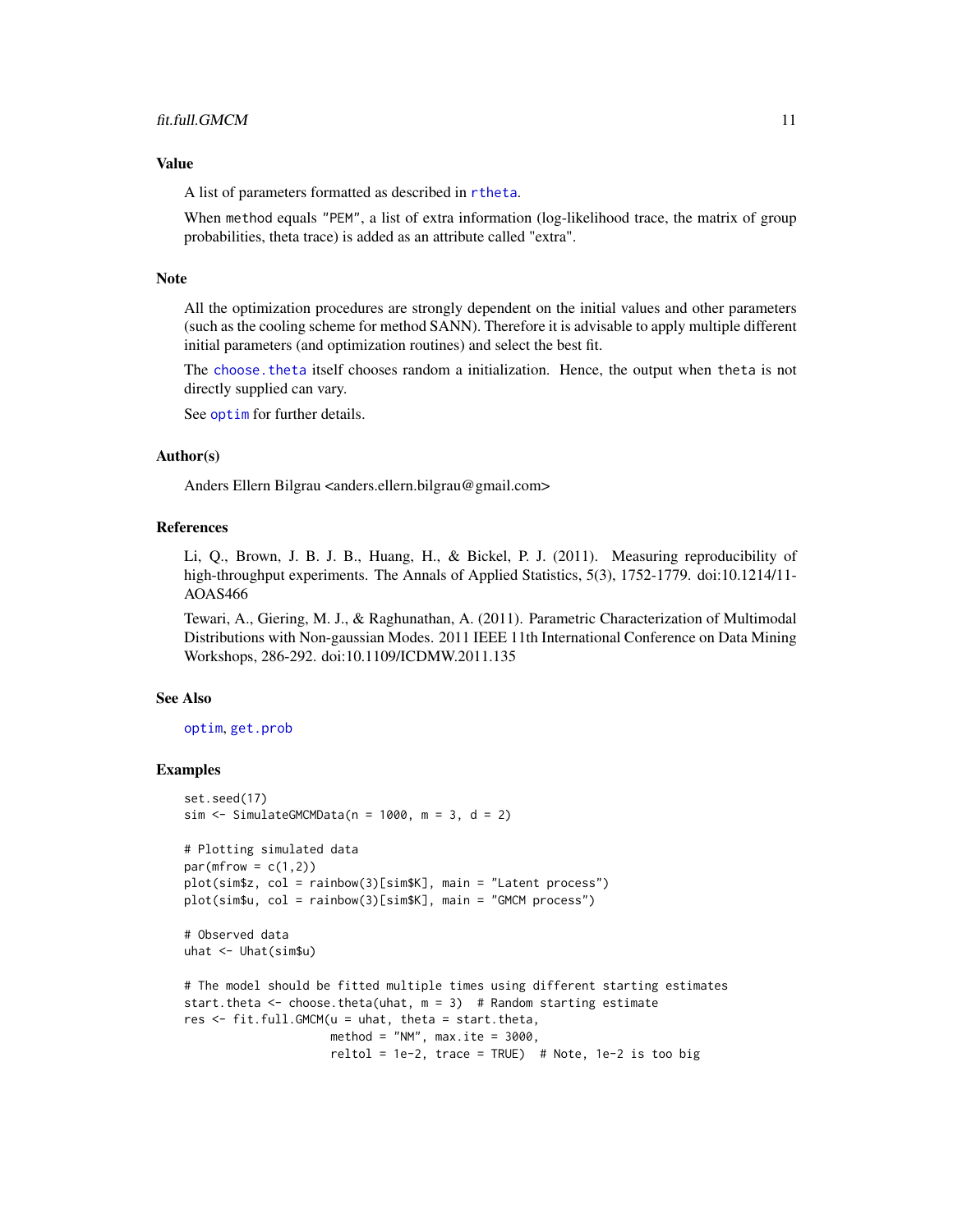#### <span id="page-10-0"></span>Value

A list of parameters formatted as described in [rtheta](#page-21-1).

When method equals "PEM", a list of extra information (log-likelihood trace, the matrix of group probabilities, theta trace) is added as an attribute called "extra".

#### **Note**

All the optimization procedures are strongly dependent on the initial values and other parameters (such as the cooling scheme for method SANN). Therefore it is advisable to apply multiple different initial parameters (and optimization routines) and select the best fit.

The [choose.theta](#page-4-1) itself chooses random a initialization. Hence, the output when theta is not directly supplied can vary.

See [optim](#page-0-0) for further details.

# Author(s)

Anders Ellern Bilgrau <anders.ellern.bilgrau@gmail.com>

#### **References**

Li, Q., Brown, J. B. J. B., Huang, H., & Bickel, P. J. (2011). Measuring reproducibility of high-throughput experiments. The Annals of Applied Statistics, 5(3), 1752-1779. doi:10.1214/11-AOAS466

Tewari, A., Giering, M. J., & Raghunathan, A. (2011). Parametric Characterization of Multimodal Distributions with Non-gaussian Modes. 2011 IEEE 11th International Conference on Data Mining Workshops, 286-292. doi:10.1109/ICDMW.2011.135

#### See Also

### [optim](#page-0-0), [get.prob](#page-16-2)

```
set.seed(17)
sim \le SimulateGMCMData(n = 1000, m = 3, d = 2)
# Plotting simulated data
par(mfrow = c(1,2))plot(sim$z, col = rainbow(3)[sim$K], main = "Latent process")
plot(sim$u, col = rainbow(3)[sim$K], main = "GMCM process")
# Observed data
uhat <- Uhat(sim$u)
# The model should be fitted multiple times using different starting estimates
start.theta \leq choose.theta(uhat, m = 3) # Random starting estimate
res <- fit.full.GMCM(u = uhat, theta = start.theta,
                     method = "NM", max.ite = 3000,
                     reltol = 1e-2, trace = TRUE) # Note, 1e-2 is too big
```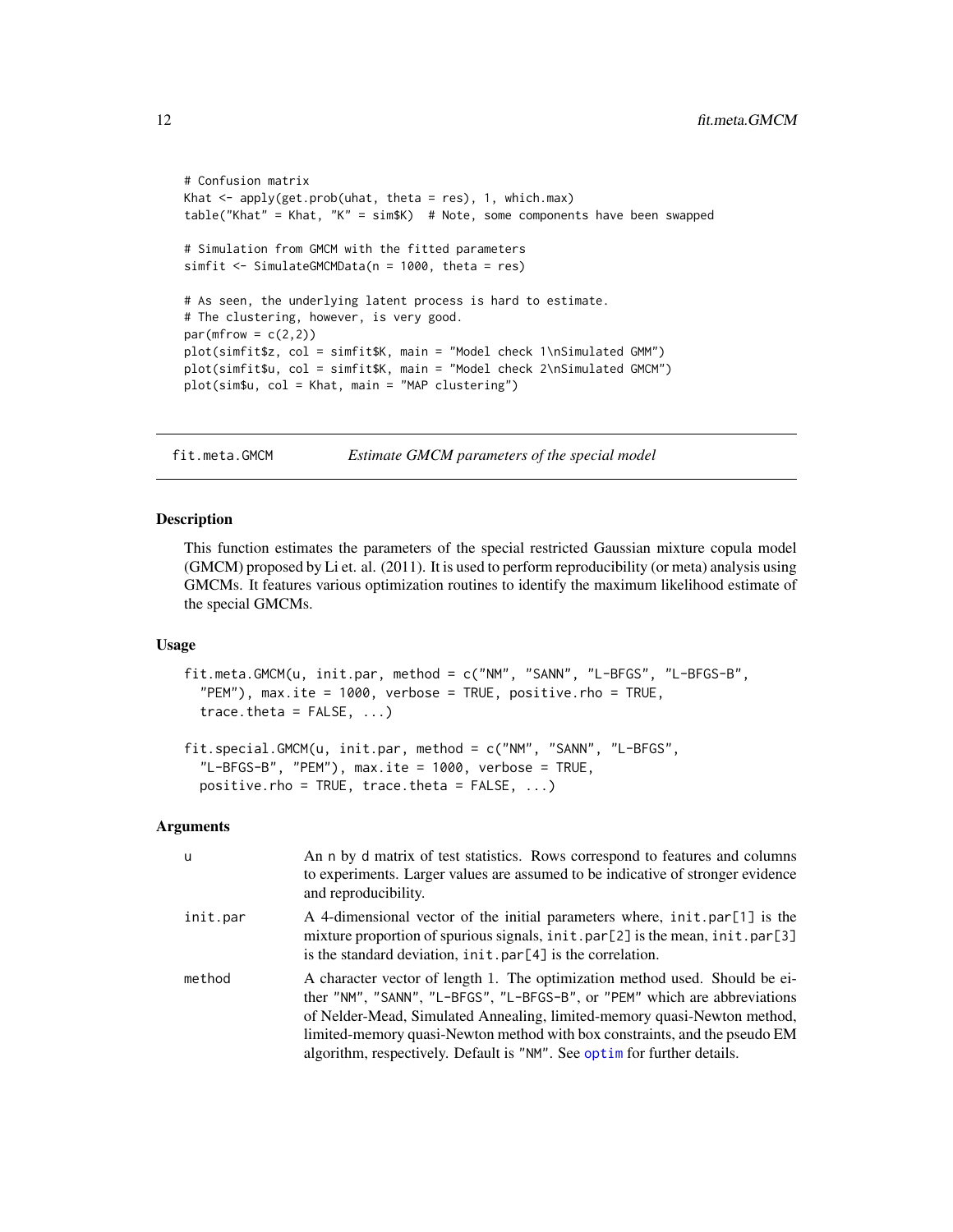```
# Confusion matrix
Khat \leq apply(get.prob(uhat, theta = res), 1, which.max)
table("Khat" = Khat, "K" = sim$K) # Note, some components have been swapped
# Simulation from GMCM with the fitted parameters
simfit <- SimulateGMCMData(n = 1000, theta = res)
# As seen, the underlying latent process is hard to estimate.
# The clustering, however, is very good.
par(mfrow = c(2,2))plot(simfit$z, col = simfit$K, main = "Model check 1\nSimulated GMM")
plot(simfit$u, col = simfit$K, main = "Model check 2\nSimulated GMCM")
plot(sim$u, col = Khat, main = "MAP clustering")
```
<span id="page-11-1"></span>fit.meta.GMCM *Estimate GMCM parameters of the special model*

#### Description

This function estimates the parameters of the special restricted Gaussian mixture copula model (GMCM) proposed by Li et. al. (2011). It is used to perform reproducibility (or meta) analysis using GMCMs. It features various optimization routines to identify the maximum likelihood estimate of the special GMCMs.

#### Usage

```
fit.meta.GMCM(u, init.par, method = c("NM", "SANN", "L-BFGS", "L-BFGS-B",
  "PEM"), max.ite = 1000, verbose = TRUE, positive.rho = TRUE,
  trace.theta = FALSE, ...)
```

```
fit.special.GMCM(u, init.par, method = c("NM", "SANN", "L-BFGS",
  "L-BFGS-B", "PEM"), max.ite = 1000, verbose = TRUE,
 positive.rho = TRUE, trace.theta = FALSE, ...)
```
#### Arguments

| u        | An n by d matrix of test statistics. Rows correspond to features and columns<br>to experiments. Larger values are assumed to be indicative of stronger evidence<br>and reproducibility.                                                                                                                                                                                                         |
|----------|-------------------------------------------------------------------------------------------------------------------------------------------------------------------------------------------------------------------------------------------------------------------------------------------------------------------------------------------------------------------------------------------------|
| init.par | A 4-dimensional vector of the initial parameters where, init.par[1] is the<br>mixture proportion of spurious signals, init.par[2] is the mean, init.par[3]<br>is the standard deviation, $init.path$ = $par[4]$ is the correlation.                                                                                                                                                             |
| method   | A character vector of length 1. The optimization method used. Should be ei-<br>ther "NM", "SANN", "L-BFGS", "L-BFGS-B", or "PEM" which are abbreviations<br>of Nelder-Mead, Simulated Annealing, limited-memory quasi-Newton method,<br>limited-memory quasi-Newton method with box constraints, and the pseudo EM<br>algorithm, respectively. Default is "NM". See optime for further details. |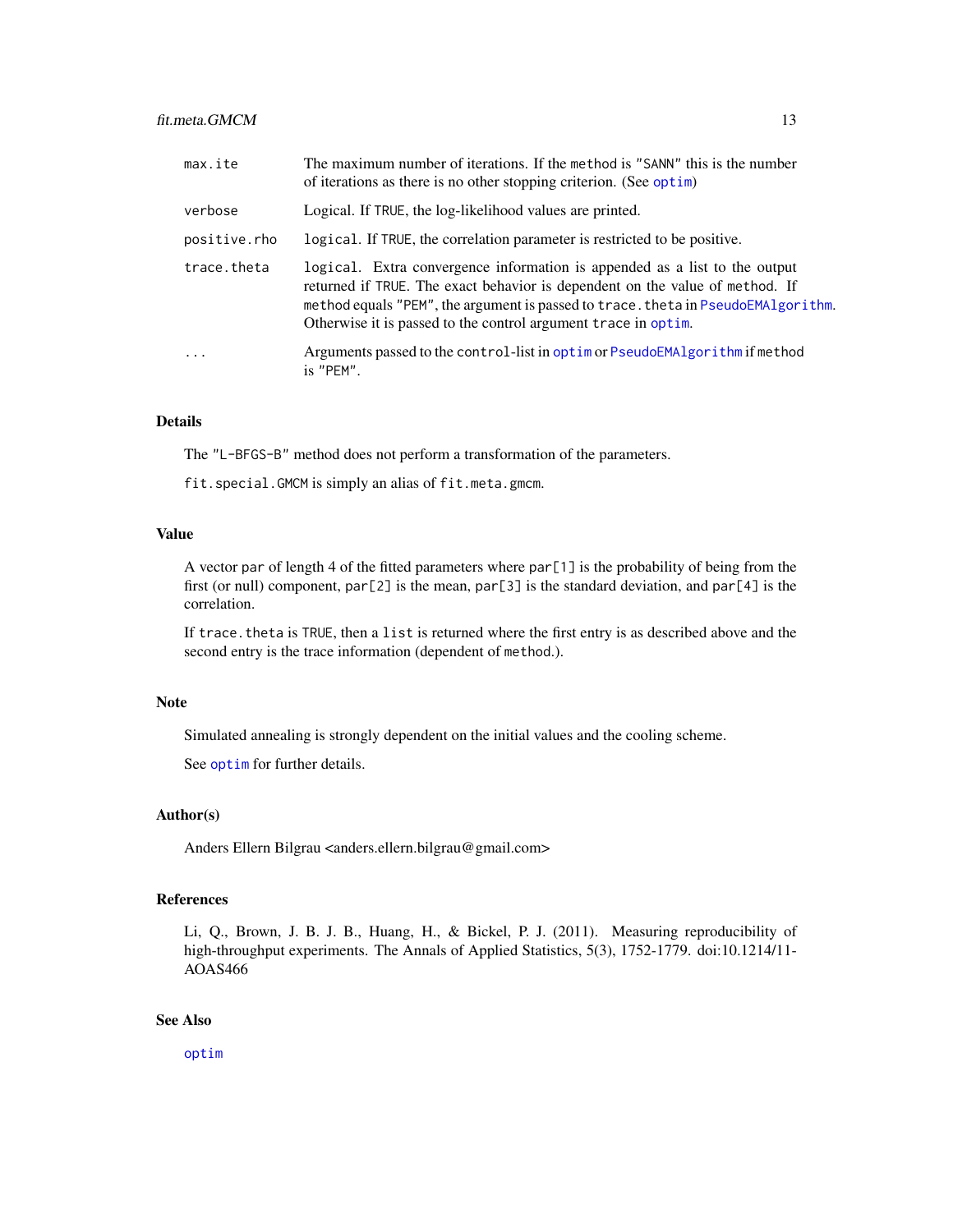# <span id="page-12-0"></span>fit.meta.GMCM 13

| max.ite      | The maximum number of iterations. If the method is "SANN" this is the number<br>of iterations as there is no other stopping criterion. (See optim)                                                                                                                                                                |
|--------------|-------------------------------------------------------------------------------------------------------------------------------------------------------------------------------------------------------------------------------------------------------------------------------------------------------------------|
| verbose      | Logical. If TRUE, the log-likelihood values are printed.                                                                                                                                                                                                                                                          |
| positive.rho | logical. If TRUE, the correlation parameter is restricted to be positive.                                                                                                                                                                                                                                         |
| trace.theta  | logical. Extra convergence information is appended as a list to the output<br>returned if TRUE. The exact behavior is dependent on the value of method. If<br>method equals "PEM", the argument is passed to trace. theta in PseudoEMAlgorithm.<br>Otherwise it is passed to the control argument trace in optim. |
| $\cdots$     | Arguments passed to the control-list in optim or PseudoEMAlgorithm if method<br>is "PEM".                                                                                                                                                                                                                         |

# Details

The "L-BFGS-B" method does not perform a transformation of the parameters.

fit.special.GMCM is simply an alias of fit.meta.gmcm.

# Value

A vector par of length 4 of the fitted parameters where par[1] is the probability of being from the first (or null) component,  $par[2]$  is the mean,  $par[3]$  is the standard deviation, and  $par[4]$  is the correlation.

If trace. theta is TRUE, then a list is returned where the first entry is as described above and the second entry is the trace information (dependent of method.).

# Note

Simulated annealing is strongly dependent on the initial values and the cooling scheme.

See [optim](#page-0-0) for further details.

# Author(s)

Anders Ellern Bilgrau <anders.ellern.bilgrau@gmail.com>

# References

Li, Q., Brown, J. B. J. B., Huang, H., & Bickel, P. J. (2011). Measuring reproducibility of high-throughput experiments. The Annals of Applied Statistics, 5(3), 1752-1779. doi:10.1214/11-AOAS466

# See Also

[optim](#page-0-0)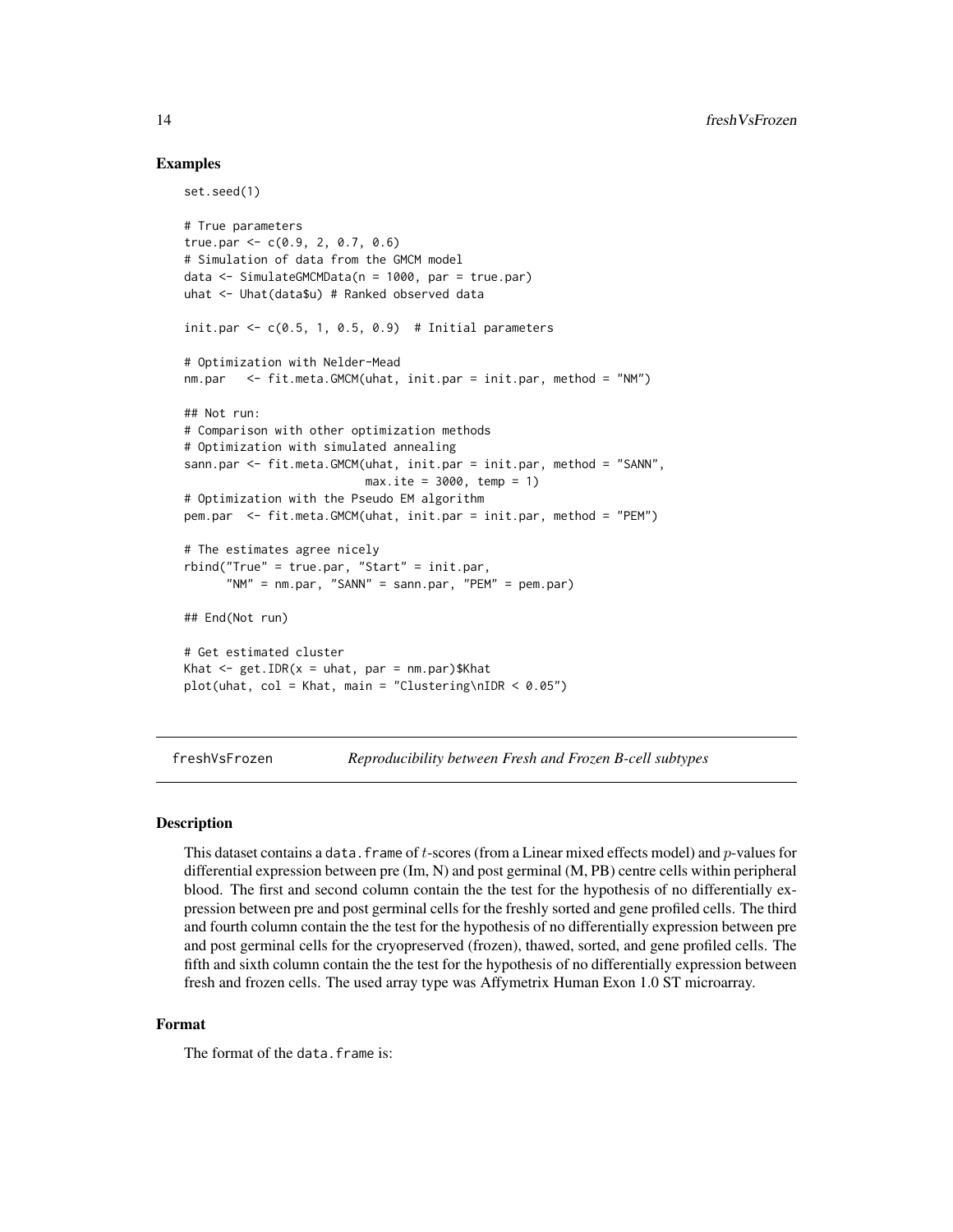# Examples

set.seed(1)

```
# True parameters
true.par \leq -c(0.9, 2, 0.7, 0.6)# Simulation of data from the GMCM model
data <- SimulateGMCMData(n = 1000, par = true.par)
uhat <- Uhat(data$u) # Ranked observed data
init.par \leq c(0.5, 1, 0.5, 0.9) # Initial parameters
# Optimization with Nelder-Mead
nm.par <- fit.meta.GMCM(uhat, init.par = init.par, method = "NM")
## Not run:
# Comparison with other optimization methods
# Optimization with simulated annealing
sann.par <- fit.meta.GMCM(uhat, init.par = init.par, method = "SANN",
                          max.ite = 3000, temp = 1)
# Optimization with the Pseudo EM algorithm
pem.par <- fit.meta.GMCM(uhat, init.par = init.par, method = "PEM")
# The estimates agree nicely
rbind("True" = true.par, "Start" = init.par,
      "NM" = nm.par, "SANN" = sann.par, "PEM" = pem.par)
## End(Not run)
# Get estimated cluster
Khat \leq get. IDR(x = uhat, par = nm.par) $Khat
plot(uhat, col = Khat, main = "Clustering\nIDR < 0.05")
```
freshVsFrozen *Reproducibility between Fresh and Frozen B-cell subtypes*

#### Description

This dataset contains a data. frame of t-scores (from a Linear mixed effects model) and  $p$ -values for differential expression between pre (Im, N) and post germinal (M, PB) centre cells within peripheral blood. The first and second column contain the the test for the hypothesis of no differentially expression between pre and post germinal cells for the freshly sorted and gene profiled cells. The third and fourth column contain the the test for the hypothesis of no differentially expression between pre and post germinal cells for the cryopreserved (frozen), thawed, sorted, and gene profiled cells. The fifth and sixth column contain the the test for the hypothesis of no differentially expression between fresh and frozen cells. The used array type was Affymetrix Human Exon 1.0 ST microarray.

#### Format

The format of the data. frame is:

<span id="page-13-0"></span>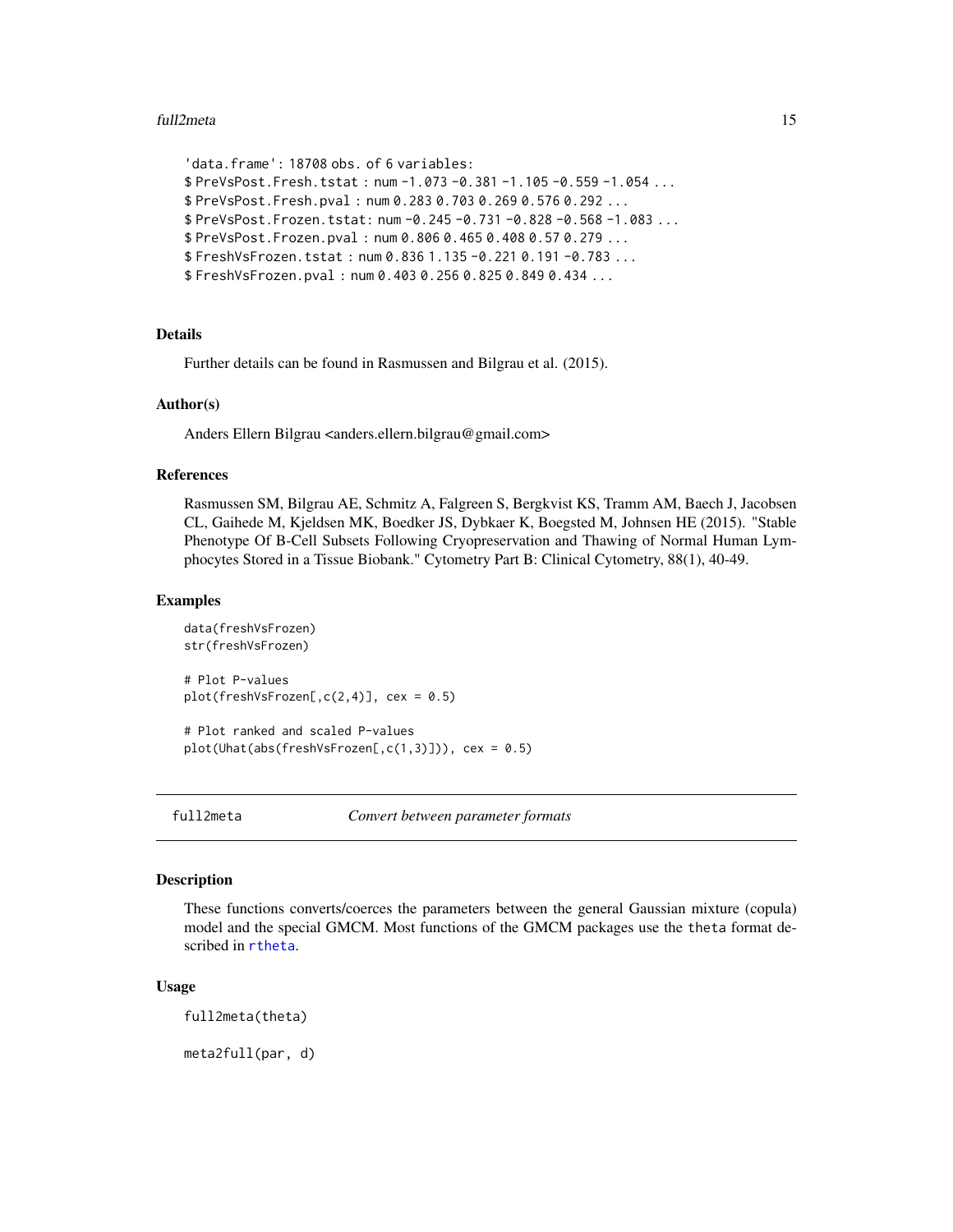#### <span id="page-14-0"></span>full2meta 15

```
'data.frame': 18708 obs. of 6 variables:
$ PreVsPost.Fresh.tstat : num -1.073 -0.381 -1.105 -0.559 -1.054 ...
$ PreVsPost.Fresh.pval : num 0.283 0.703 0.269 0.576 0.292 ...
$ PreVsPost.Frozen.tstat: num -0.245 -0.731 -0.828 -0.568 -1.083 ...
$ PreVsPost.Frozen.pval : num 0.806 0.465 0.408 0.57 0.279 ...
$ FreshVsFrozen.tstat : num 0.836 1.135 -0.221 0.191 -0.783 ...
$ FreshVsFrozen.pval : num 0.403 0.256 0.825 0.849 0.434 ...
```
# Details

Further details can be found in Rasmussen and Bilgrau et al. (2015).

# Author(s)

Anders Ellern Bilgrau <anders.ellern.bilgrau@gmail.com>

# References

Rasmussen SM, Bilgrau AE, Schmitz A, Falgreen S, Bergkvist KS, Tramm AM, Baech J, Jacobsen CL, Gaihede M, Kjeldsen MK, Boedker JS, Dybkaer K, Boegsted M, Johnsen HE (2015). "Stable Phenotype Of B-Cell Subsets Following Cryopreservation and Thawing of Normal Human Lymphocytes Stored in a Tissue Biobank." Cytometry Part B: Clinical Cytometry, 88(1), 40-49.

# **Examples**

```
data(freshVsFrozen)
str(freshVsFrozen)
# Plot P-values
plot(freshVsFrozen[,c(2,4)], cex = 0.5)
```
# Plot ranked and scaled P-values  $plot(What(abs(freshVsFrozen[,c(1,3)]))$ , cex = 0.5)

<span id="page-14-1"></span>

full2meta *Convert between parameter formats*

# <span id="page-14-2"></span>**Description**

These functions converts/coerces the parameters between the general Gaussian mixture (copula) model and the special GMCM. Most functions of the GMCM packages use the theta format described in [rtheta](#page-21-1).

#### Usage

full2meta(theta)

meta2full(par, d)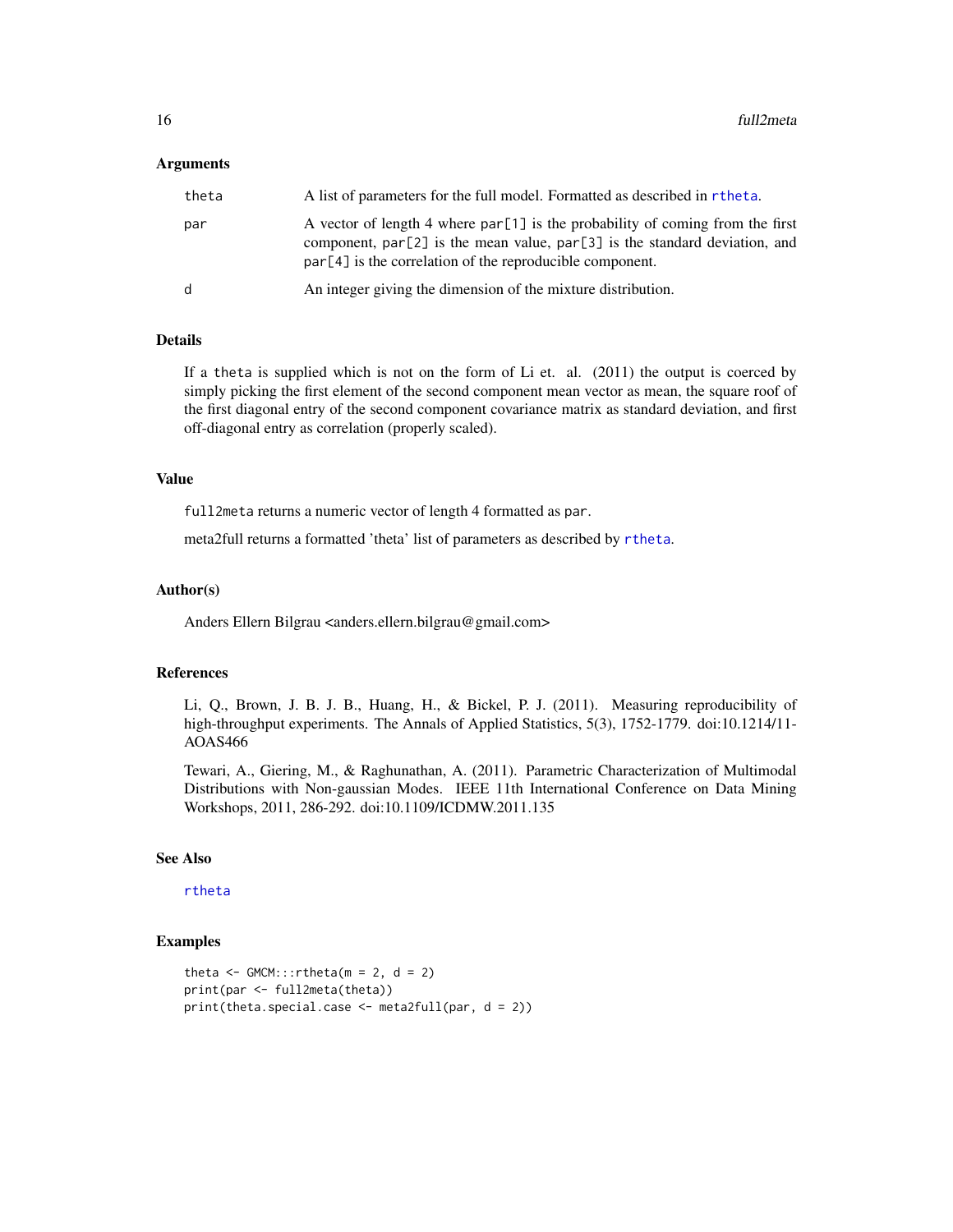#### Arguments

| theta        | A list of parameters for the full model. Formatted as described in r the ta.                                                                                                                                                  |
|--------------|-------------------------------------------------------------------------------------------------------------------------------------------------------------------------------------------------------------------------------|
| par          | A vector of length 4 where $par[1]$ is the probability of coming from the first<br>component, par [2] is the mean value, par [3] is the standard deviation, and<br>$par[4]$ is the correlation of the reproducible component. |
| <sub>d</sub> | An integer giving the dimension of the mixture distribution.                                                                                                                                                                  |

# Details

If a theta is supplied which is not on the form of Li et. al. (2011) the output is coerced by simply picking the first element of the second component mean vector as mean, the square roof of the first diagonal entry of the second component covariance matrix as standard deviation, and first off-diagonal entry as correlation (properly scaled).

# Value

full2meta returns a numeric vector of length 4 formatted as par.

meta2full returns a formatted 'theta' list of parameters as described by [rtheta](#page-21-1).

#### Author(s)

Anders Ellern Bilgrau <anders.ellern.bilgrau@gmail.com>

#### References

Li, Q., Brown, J. B. J. B., Huang, H., & Bickel, P. J. (2011). Measuring reproducibility of high-throughput experiments. The Annals of Applied Statistics, 5(3), 1752-1779. doi:10.1214/11-AOAS466

Tewari, A., Giering, M., & Raghunathan, A. (2011). Parametric Characterization of Multimodal Distributions with Non-gaussian Modes. IEEE 11th International Conference on Data Mining Workshops, 2011, 286-292. doi:10.1109/ICDMW.2011.135

#### See Also

#### [rtheta](#page-21-1)

```
theta \leq GMCM:::rtheta(m = 2, d = 2)
print(par <- full2meta(theta))
print(theta.special.case <- meta2full(par, d = 2))
```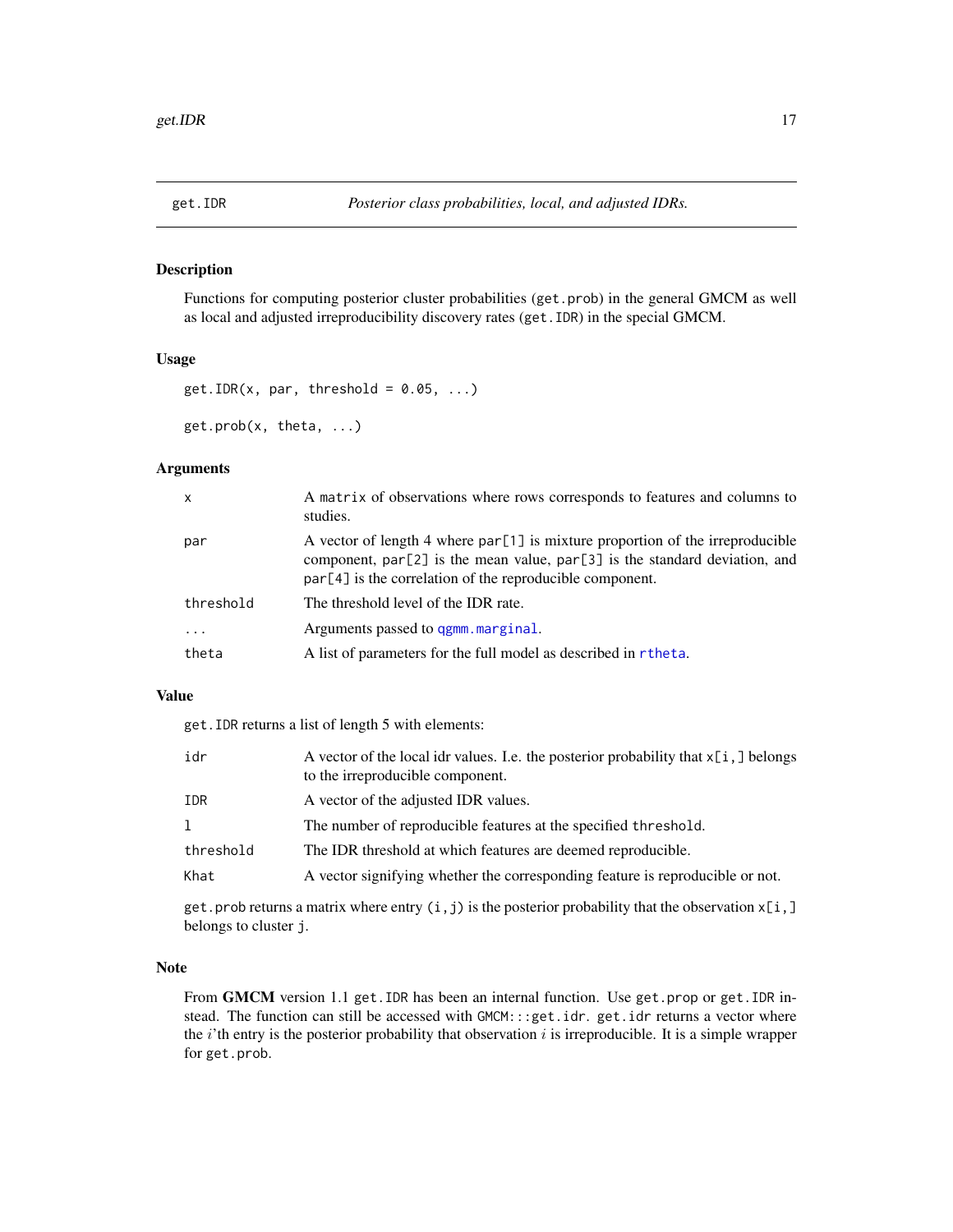<span id="page-16-1"></span><span id="page-16-0"></span>

#### <span id="page-16-2"></span>Description

Functions for computing posterior cluster probabilities (get.prob) in the general GMCM as well as local and adjusted irreproducibility discovery rates (get.IDR) in the special GMCM.

# Usage

```
get.IDR(x, par, threshold = 0.05, ...)get.prob(x, theta, ...)
```
#### Arguments

| par<br>$par[4]$ is the correlation of the reproducible component.<br>threshold<br>The threshold level of the IDR rate.<br>Arguments passed to ggmm, marginal.<br>.<br>A list of parameters for the full model as described in rtheta.<br>theta | $\mathsf{x}$ | A matrix of observations where rows corresponds to features and columns to<br>studies.                                                                            |
|------------------------------------------------------------------------------------------------------------------------------------------------------------------------------------------------------------------------------------------------|--------------|-------------------------------------------------------------------------------------------------------------------------------------------------------------------|
|                                                                                                                                                                                                                                                |              | A vector of length 4 where $par[1]$ is mixture proportion of the irreproducible<br>component, $par[2]$ is the mean value, $par[3]$ is the standard deviation, and |
|                                                                                                                                                                                                                                                |              |                                                                                                                                                                   |
|                                                                                                                                                                                                                                                |              |                                                                                                                                                                   |
|                                                                                                                                                                                                                                                |              |                                                                                                                                                                   |

# Value

get.IDR returns a list of length 5 with elements:

| idr       | A vector of the local idr values. I.e. the posterior probability that $x[i, ]$ belongs<br>to the irreproducible component. |
|-----------|----------------------------------------------------------------------------------------------------------------------------|
| IDR       | A vector of the adjusted IDR values.                                                                                       |
| 1         | The number of reproducible features at the specified threshold.                                                            |
| threshold | The IDR threshold at which features are deemed reproducible.                                                               |
| Khat      | A vector signifying whether the corresponding feature is reproducible or not.                                              |

get.prob returns a matrix where entry  $(i, j)$  is the posterior probability that the observation  $x[i, ]$ belongs to cluster j.

# Note

From GMCM version 1.1 get. IDR has been an internal function. Use get.prop or get. IDR instead. The function can still be accessed with GMCM:::get.idr. get.idr returns a vector where the  $i'$ th entry is the posterior probability that observation  $i$  is irreproducible. It is a simple wrapper for get.prob.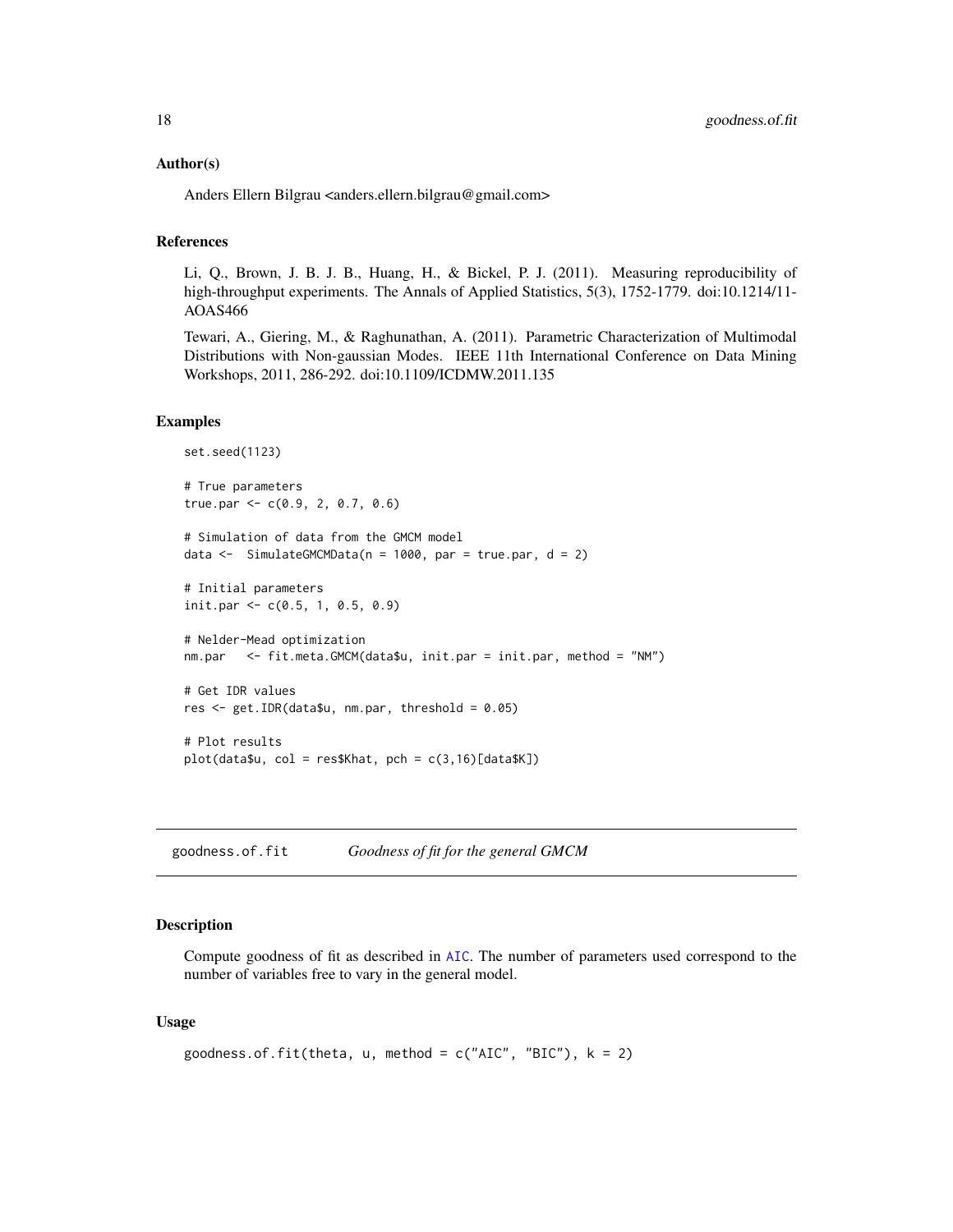#### <span id="page-17-0"></span>Author(s)

Anders Ellern Bilgrau <anders.ellern.bilgrau@gmail.com>

#### References

Li, Q., Brown, J. B. J. B., Huang, H., & Bickel, P. J. (2011). Measuring reproducibility of high-throughput experiments. The Annals of Applied Statistics, 5(3), 1752-1779. doi:10.1214/11-AOAS466

Tewari, A., Giering, M., & Raghunathan, A. (2011). Parametric Characterization of Multimodal Distributions with Non-gaussian Modes. IEEE 11th International Conference on Data Mining Workshops, 2011, 286-292. doi:10.1109/ICDMW.2011.135

#### Examples

```
set.seed(1123)
# True parameters
true.par <- c(0.9, 2, 0.7, 0.6)# Simulation of data from the GMCM model
data \le SimulateGMCMData(n = 1000, par = true.par, d = 2)
# Initial parameters
init.par <- c(0.5, 1, 0.5, 0.9)
# Nelder-Mead optimization
nm.par <- fit.meta.GMCM(data$u, init.par = init.par, method = "NM")
# Get IDR values
res <- get.IDR(data$u, nm.par, threshold = 0.05)
# Plot results
plot(data $u, col = res$Khat, pch = c(3, 16)[data $K])
```
goodness.of.fit *Goodness of fit for the general GMCM*

# Description

Compute goodness of fit as described in [AIC](#page-0-0). The number of parameters used correspond to the number of variables free to vary in the general model.

#### Usage

```
goodness.of.fit(theta, u, method = c("AIC", "BIC"), k = 2)
```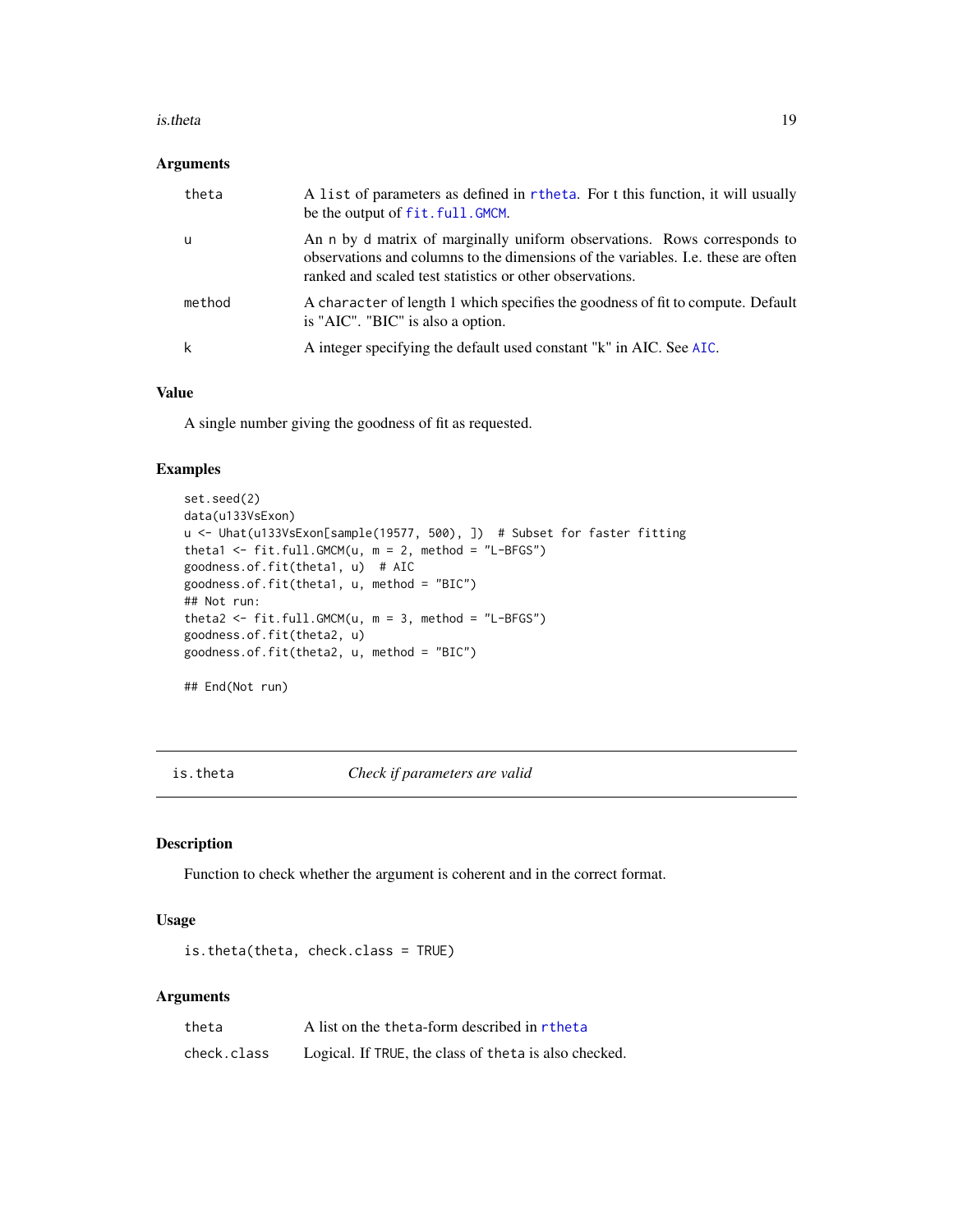#### <span id="page-18-0"></span>is.theta 19

# Arguments

| theta  | A list of parameters as defined in rtheta. For t this function, it will usually<br>be the output of fit. full. GMCM.                                                                                                      |
|--------|---------------------------------------------------------------------------------------------------------------------------------------------------------------------------------------------------------------------------|
| -u     | An n by d matrix of marginally uniform observations. Rows corresponds to<br>observations and columns to the dimensions of the variables. I.e. these are often<br>ranked and scaled test statistics or other observations. |
| method | A character of length 1 which specifies the goodness of fit to compute. Default<br>is "AIC". "BIC" is also a option.                                                                                                      |
| k      | A integer specifying the default used constant "k" in AIC. See AIC.                                                                                                                                                       |

# Value

A single number giving the goodness of fit as requested.

# Examples

```
set.seed(2)
data(u133VsExon)
u <- Uhat(u133VsExon[sample(19577, 500), ]) # Subset for faster fitting
theta1 <- fit.full.GMCM(u, m = 2, method = "L-BFGS")
goodness.of.fit(theta1, u) # AIC
goodness.of.fit(theta1, u, method = "BIC")
## Not run:
theta2 <- fit.full.GMCM(u, m = 3, method = "L-BFGS")
goodness.of.fit(theta2, u)
goodness.of.fit(theta2, u, method = "BIC")
## End(Not run)
```
<span id="page-18-1"></span>is.theta *Check if parameters are valid*

# Description

Function to check whether the argument is coherent and in the correct format.

#### Usage

```
is.theta(theta, check.class = TRUE)
```
# Arguments

| theta       | A list on the theta-form described in rtheta          |
|-------------|-------------------------------------------------------|
| check.class | Logical. If TRUE, the class of theta is also checked. |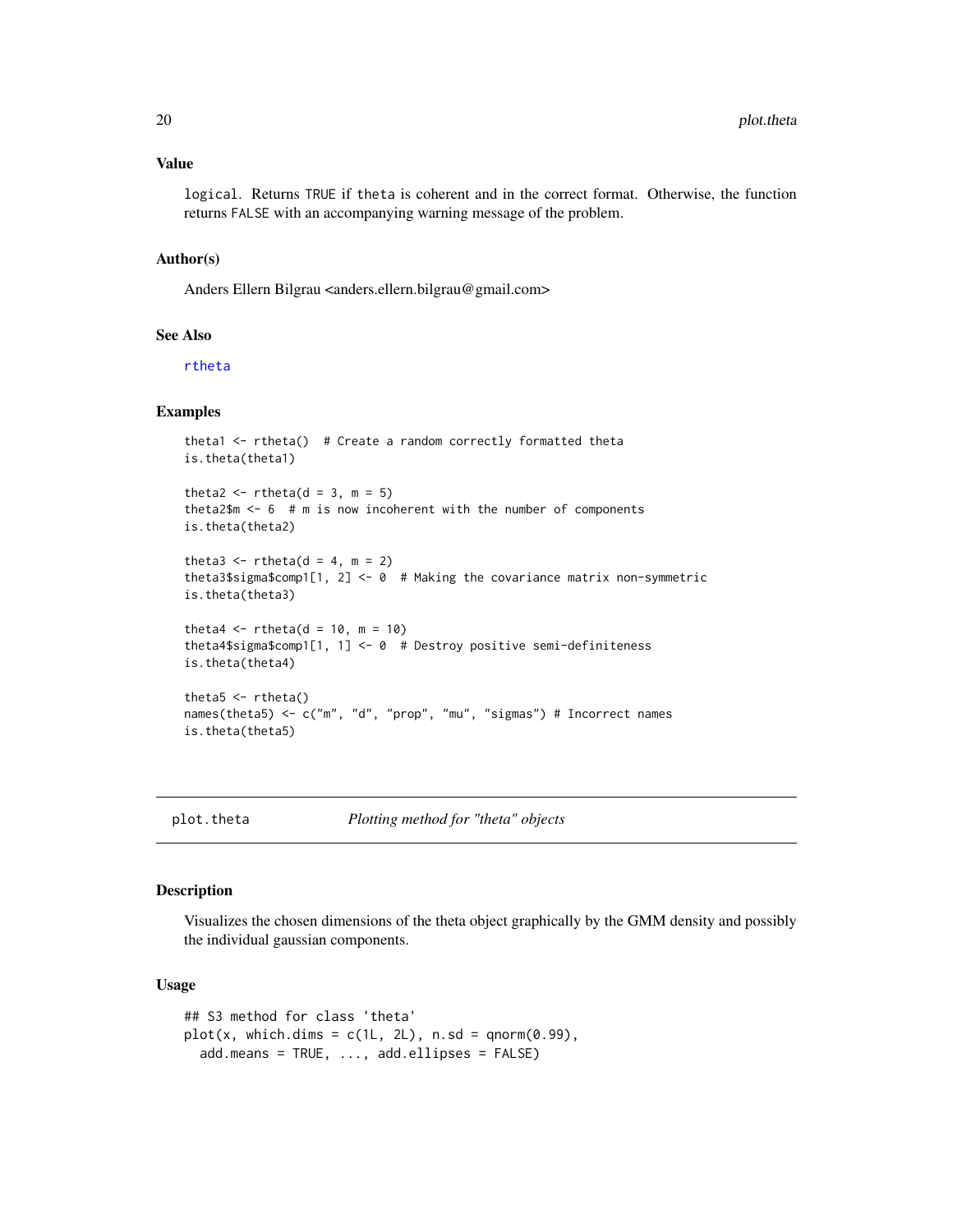## <span id="page-19-0"></span>Value

logical. Returns TRUE if theta is coherent and in the correct format. Otherwise, the function returns FALSE with an accompanying warning message of the problem.

#### Author(s)

Anders Ellern Bilgrau <anders.ellern.bilgrau@gmail.com>

#### See Also

[rtheta](#page-21-1)

# Examples

```
theta1 \le- rtheta() # Create a random correctly formatted theta
is.theta(theta1)
theta2 \le rtheta(d = 3, m = 5)
theta2$m <- 6 # m is now incoherent with the number of components
is.theta(theta2)
theta3 \le rtheta(d = 4, m = 2)
theta3$sigma$comp1[1, 2] <- 0 # Making the covariance matrix non-symmetric
is.theta(theta3)
theta4 \leftarrow rtheta(d = 10, m = 10)
theta4$sigma$comp1[1, 1] <- 0 # Destroy positive semi-definiteness
is.theta(theta4)
theta5 < -rtheta()names(theta5) <- c("m", "d", "prop", "mu", "sigmas") # Incorrect names
is.theta(theta5)
```
plot.theta *Plotting method for "theta" objects*

#### Description

Visualizes the chosen dimensions of the theta object graphically by the GMM density and possibly the individual gaussian components.

#### Usage

```
## S3 method for class 'theta'
plot(x, which.dims = c(1L, 2L), n.sd = qnorm(0.99),add.means = TRUE, ..., add.ellipses = FALSE)
```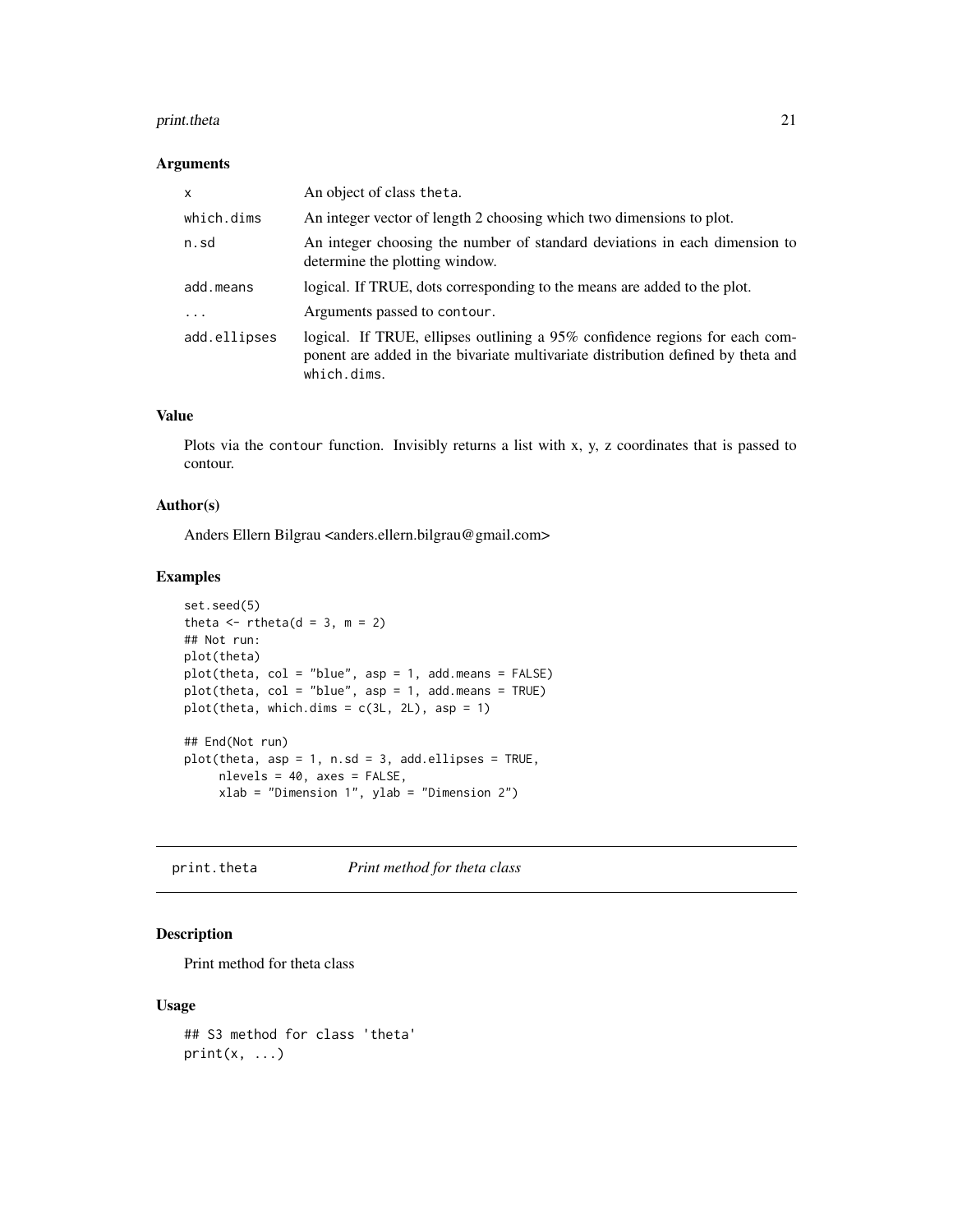# <span id="page-20-0"></span>print.theta 21

# Arguments

| $\mathsf{x}$ | An object of class theta.                                                                                                                                                      |
|--------------|--------------------------------------------------------------------------------------------------------------------------------------------------------------------------------|
| which.dims   | An integer vector of length 2 choosing which two dimensions to plot.                                                                                                           |
| n.sd         | An integer choosing the number of standard deviations in each dimension to<br>determine the plotting window.                                                                   |
| add.means    | logical. If TRUE, dots corresponding to the means are added to the plot.                                                                                                       |
| .            | Arguments passed to contour.                                                                                                                                                   |
| add.ellipses | logical. If TRUE, ellipses outlining a 95% confidence regions for each com-<br>ponent are added in the bivariate multivariate distribution defined by theta and<br>which.dims. |

# Value

Plots via the contour function. Invisibly returns a list with x, y, z coordinates that is passed to contour.

# Author(s)

Anders Ellern Bilgrau <anders.ellern.bilgrau@gmail.com>

# Examples

```
set.seed(5)
theta \leftarrow rtheta(d = 3, m = 2)
## Not run:
plot(theta)
plot(theta, col = "blue", asp = 1, add.means = FALSE)
plot(theta, col = "blue", asp = 1, add.means = TRUE)
plot(theta, which.dims = c(3L, 2L), asp = 1)## End(Not run)
plot(theta, asp = 1, n.sd = 3, add. ellipses = TRUE,nlevels = 40, axes = FALSE,
     xlab = "Dimension 1", ylab = "Dimension 2")
```
print.theta *Print method for theta class*

# Description

Print method for theta class

#### Usage

```
## S3 method for class 'theta'
print(x, \ldots)
```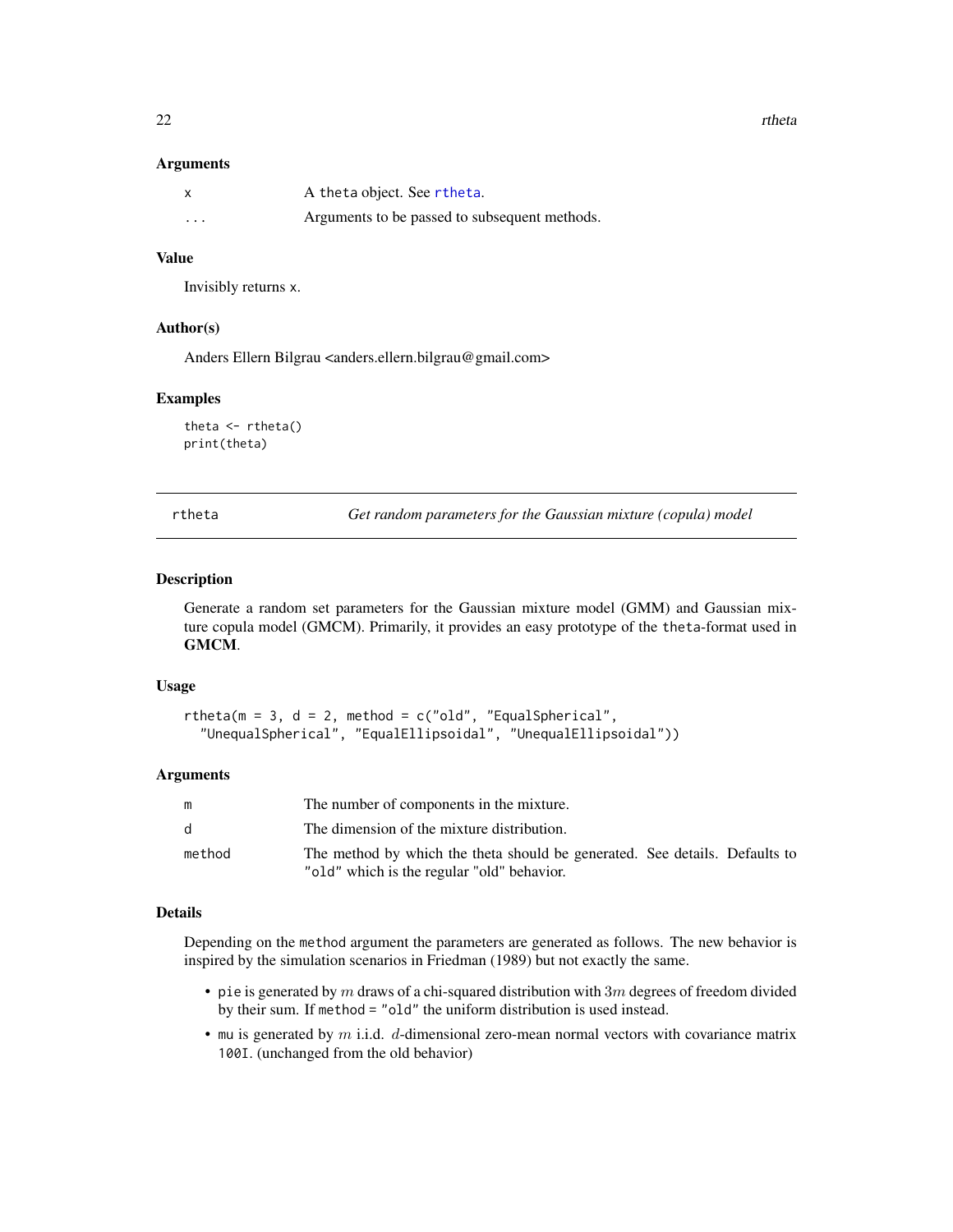<span id="page-21-0"></span> $22$  rtheta

#### **Arguments**

| X        | A theta object. See rtheta.                   |
|----------|-----------------------------------------------|
| $\cdots$ | Arguments to be passed to subsequent methods. |

#### Value

Invisibly returns x.

#### Author(s)

Anders Ellern Bilgrau <anders.ellern.bilgrau@gmail.com>

#### Examples

```
theta \leftarrow rtheta()
print(theta)
```
<span id="page-21-1"></span>

rtheta *Get random parameters for the Gaussian mixture (copula) model*

#### Description

Generate a random set parameters for the Gaussian mixture model (GMM) and Gaussian mixture copula model (GMCM). Primarily, it provides an easy prototype of the theta-format used in GMCM.

#### Usage

```
rtheta(m = 3, d = 2, method = c("old", "EqualSpherical",
  "UnequalSpherical", "EqualEllipsoidal", "UnequalEllipsoidal"))
```
#### Arguments

| m            | The number of components in the mixture.                                                                                  |
|--------------|---------------------------------------------------------------------------------------------------------------------------|
| $\mathsf{d}$ | The dimension of the mixture distribution.                                                                                |
| method       | The method by which the theta should be generated. See details. Defaults to<br>"old" which is the regular "old" behavior. |

#### Details

Depending on the method argument the parameters are generated as follows. The new behavior is inspired by the simulation scenarios in Friedman (1989) but not exactly the same.

- pie is generated by  $m$  draws of a chi-squared distribution with  $3m$  degrees of freedom divided by their sum. If method = "old" the uniform distribution is used instead.
- mu is generated by  $m$  i.i.d.  $d$ -dimensional zero-mean normal vectors with covariance matrix 100I. (unchanged from the old behavior)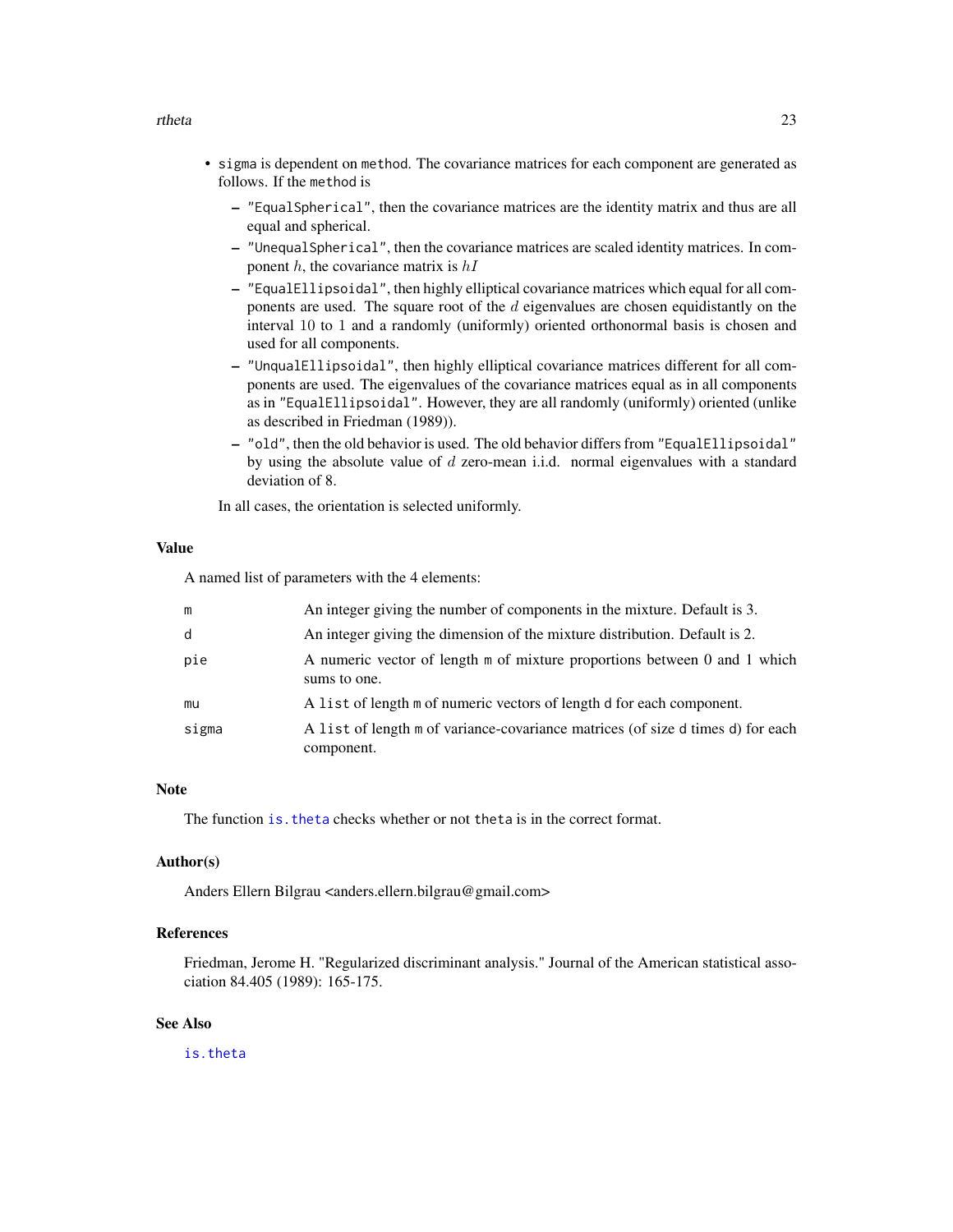#### <span id="page-22-0"></span>rtheta 23

- sigma is dependent on method. The covariance matrices for each component are generated as follows. If the method is
	- "EqualSpherical", then the covariance matrices are the identity matrix and thus are all equal and spherical.
	- "UnequalSpherical", then the covariance matrices are scaled identity matrices. In component  $h$ , the covariance matrix is  $hI$
	- "EqualEllipsoidal", then highly elliptical covariance matrices which equal for all components are used. The square root of the  $d$  eigenvalues are chosen equidistantly on the interval 10 to 1 and a randomly (uniformly) oriented orthonormal basis is chosen and used for all components.
	- "UnqualEllipsoidal", then highly elliptical covariance matrices different for all components are used. The eigenvalues of the covariance matrices equal as in all components as in "EqualEllipsoidal". However, they are all randomly (uniformly) oriented (unlike as described in Friedman (1989)).
	- "old", then the old behavior is used. The old behavior differs from "EqualEllipsoidal" by using the absolute value of d zero-mean i.i.d. normal eigenvalues with a standard deviation of 8.

In all cases, the orientation is selected uniformly.

# Value

A named list of parameters with the 4 elements:

| m     | An integer giving the number of components in the mixture. Default is 3.                      |
|-------|-----------------------------------------------------------------------------------------------|
| d     | An integer giving the dimension of the mixture distribution. Default is 2.                    |
| pie   | A numeric vector of length m of mixture proportions between 0 and 1 which<br>sums to one.     |
| mu    | A list of length m of numeric vectors of length d for each component.                         |
| sigma | A list of length m of variance-covariance matrices (of size d times d) for each<br>component. |

# Note

The function is. theta checks whether or not theta is in the correct format.

### Author(s)

Anders Ellern Bilgrau <anders.ellern.bilgrau@gmail.com>

# References

Friedman, Jerome H. "Regularized discriminant analysis." Journal of the American statistical association 84.405 (1989): 165-175.

# See Also

[is.theta](#page-18-1)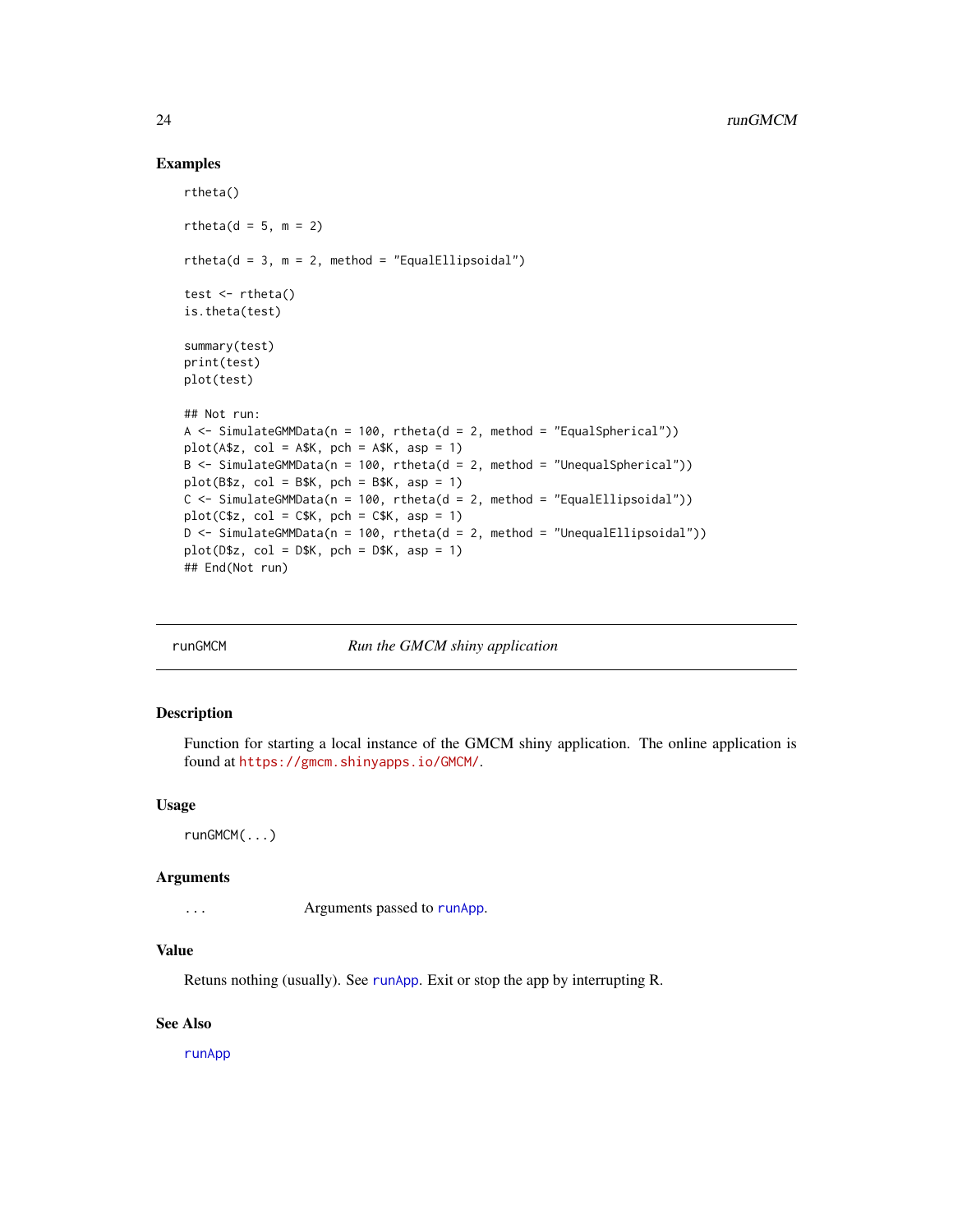#### Examples

```
rtheta()
rtheta(d = 5, m = 2)
rtheta(d = 3, m = 2, method = "EqualEllipsoidal")test \leftarrow rtheta()
is.theta(test)
summary(test)
print(test)
plot(test)
## Not run:
A \le SimulateGMMData(n = 100, rtheta(d = 2, method = "EqualSpherical"))
plot(A$z, col = A$K, pch = A$K, asp = 1)B \le - SimulateGMMData(n = 100, rtheta(d = 2, method = "UnequalSpherical"))
plot(B$z, col = B$K, pch = B$K, asp = 1)C \leq SimulateGMMData(n = 100, rtheta(d = 2, method = "EqualEllipsoidal"))
plot(C$z, col = C$K, pch = C$K, asp = 1)D \leq SimulateGMMData(n = 100, rtheta(d = 2, method = "UnequalEllipsoidal"))
plot(D$z, col = D$K, pch = D$K, asp = 1)## End(Not run)
```
runGMCM *Run the GMCM shiny application*

#### **Description**

Function for starting a local instance of the GMCM shiny application. The online application is found at <https://gmcm.shinyapps.io/GMCM/>.

#### Usage

runGMCM(...)

#### Arguments

... Arguments passed to [runApp](#page-0-0).

# Value

Retuns nothing (usually). See [runApp](#page-0-0). Exit or stop the app by interrupting R.

#### See Also

[runApp](#page-0-0)

<span id="page-23-0"></span>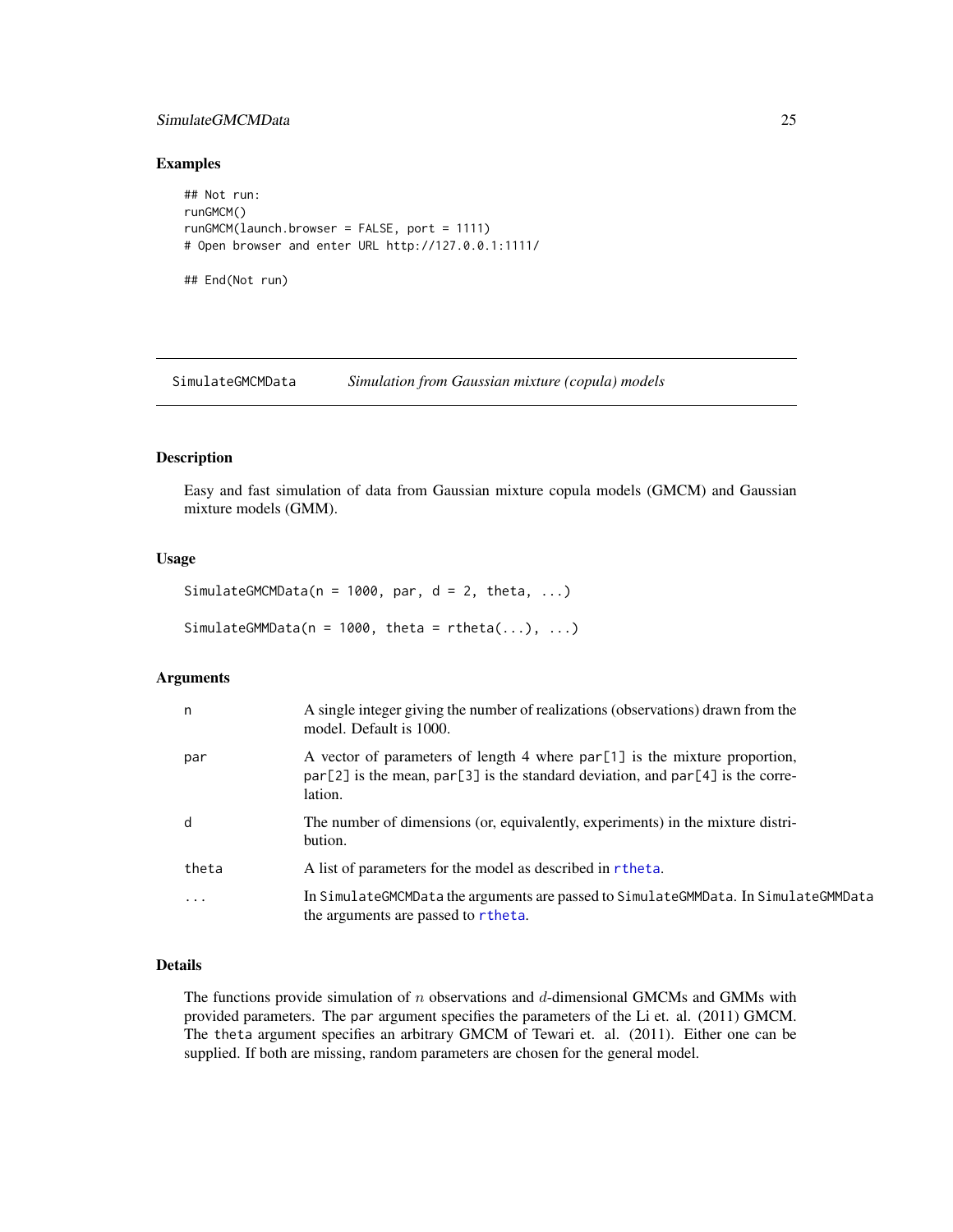# <span id="page-24-0"></span>SimulateGMCMData 25

#### Examples

```
## Not run:
runGMCM()
runGMCM(launch.browser = FALSE, port = 1111)
# Open browser and enter URL http://127.0.0.1:1111/
```
## End(Not run)

<span id="page-24-1"></span>SimulateGMCMData *Simulation from Gaussian mixture (copula) models*

#### <span id="page-24-2"></span>Description

Easy and fast simulation of data from Gaussian mixture copula models (GMCM) and Gaussian mixture models (GMM).

#### Usage

```
SimulateGMCMData(n = 1000, par, d = 2, theta, ...)
```
SimulateGMMData( $n = 1000$ , theta = rtheta(...), ...)

# Arguments

| n         | A single integer giving the number of realizations (observations) drawn from the<br>model. Default is 1000.                                                                   |
|-----------|-------------------------------------------------------------------------------------------------------------------------------------------------------------------------------|
| par       | A vector of parameters of length 4 where par[1] is the mixture proportion,<br>$par[2]$ is the mean, $par[3]$ is the standard deviation, and $par[4]$ is the corre-<br>lation. |
| d         | The number of dimensions (or, equivalently, experiments) in the mixture distri-<br>bution.                                                                                    |
| theta     | A list of parameters for the model as described in rtheta.                                                                                                                    |
| $\ddotsc$ | In SimulateGMCMData the arguments are passed to SimulateGMMData. In SimulateGMMData<br>the arguments are passed to rtheta.                                                    |

#### Details

The functions provide simulation of  $n$  observations and  $d$ -dimensional GMCMs and GMMs with provided parameters. The par argument specifies the parameters of the Li et. al. (2011) GMCM. The theta argument specifies an arbitrary GMCM of Tewari et. al. (2011). Either one can be supplied. If both are missing, random parameters are chosen for the general model.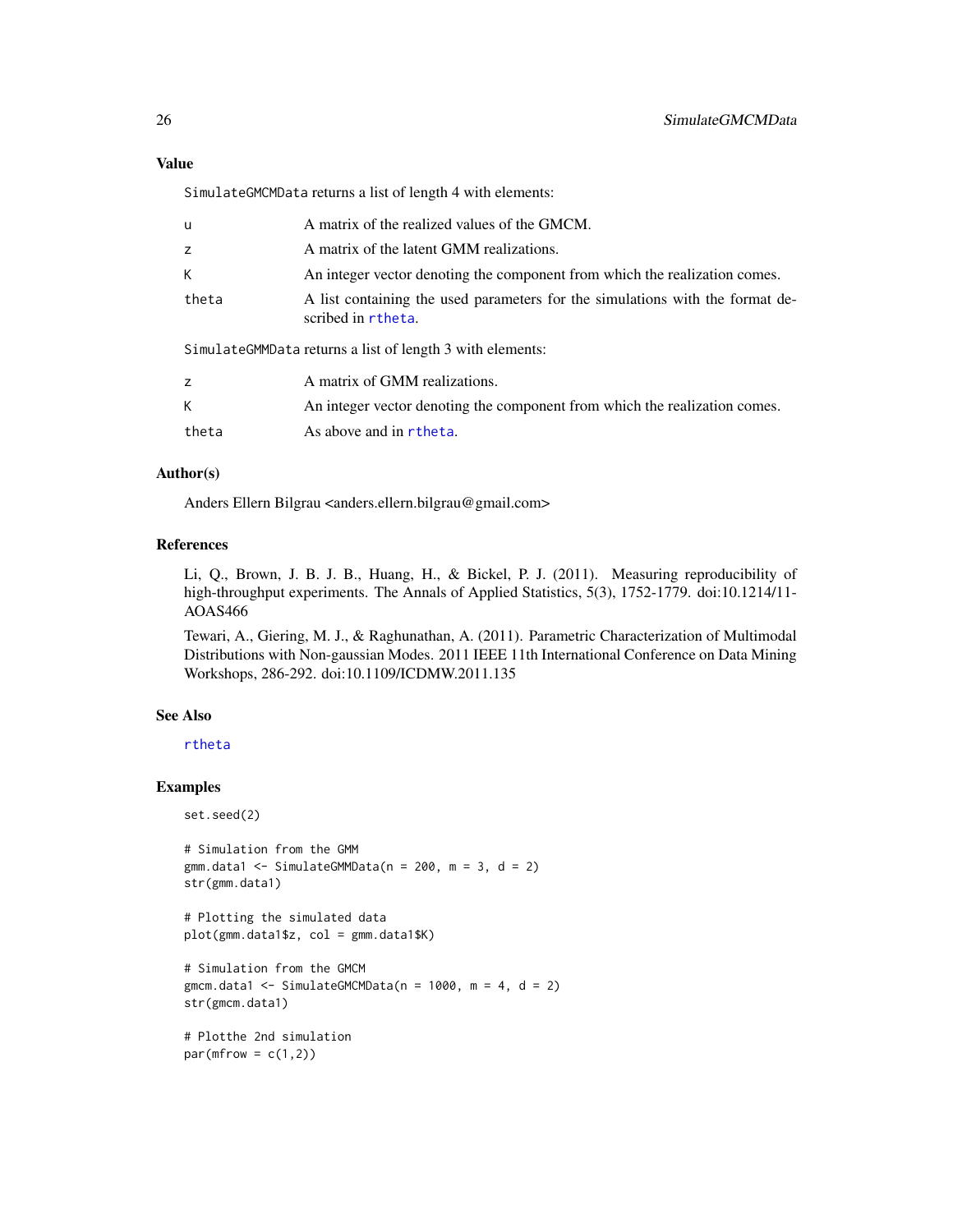SimulateGMCMData returns a list of length 4 with elements:

| u                                                         | A matrix of the realized values of the GMCM.                                                        |
|-----------------------------------------------------------|-----------------------------------------------------------------------------------------------------|
| Z.                                                        | A matrix of the latent GMM realizations.                                                            |
| K.                                                        | An integer vector denoting the component from which the realization comes.                          |
| theta                                                     | A list containing the used parameters for the simulations with the format de-<br>scribed in rtheta. |
| SimulateGMMData returns a list of length 3 with elements: |                                                                                                     |
| z                                                         | A matrix of GMM realizations.                                                                       |
| K.                                                        | An integer vector denoting the component from which the realization comes.                          |

```
theta As above and in rtheta.
```
# Author(s)

Anders Ellern Bilgrau <anders.ellern.bilgrau@gmail.com>

### References

Li, Q., Brown, J. B. J. B., Huang, H., & Bickel, P. J. (2011). Measuring reproducibility of high-throughput experiments. The Annals of Applied Statistics, 5(3), 1752-1779. doi:10.1214/11-AOAS466

Tewari, A., Giering, M. J., & Raghunathan, A. (2011). Parametric Characterization of Multimodal Distributions with Non-gaussian Modes. 2011 IEEE 11th International Conference on Data Mining Workshops, 286-292. doi:10.1109/ICDMW.2011.135

# See Also

[rtheta](#page-21-1)

#### Examples

set.seed(2)

```
# Simulation from the GMM
gmm.data1 <- SimulateGMMData(n = 200, m = 3, d = 2)
str(gmm.data1)
```

```
# Plotting the simulated data
plot(gmm.data1$z, col = gmm.data1$K)
```

```
# Simulation from the GMCM
gmcm.data1 <- SimulateGMCMData(n = 1000, m = 4, d = 2)
str(gmcm.data1)
```

```
# Plotthe 2nd simulation
par(mfrow = c(1,2))
```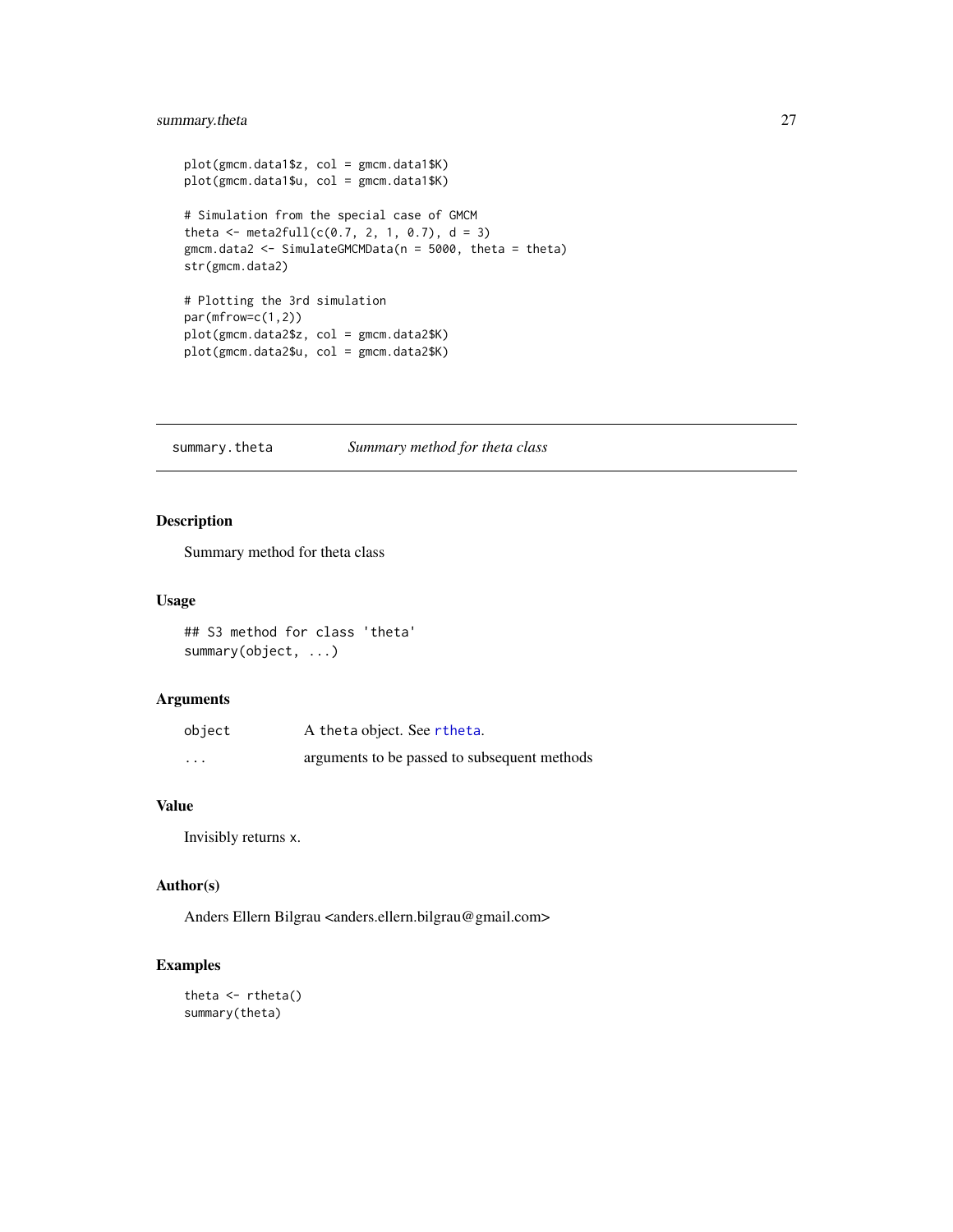# <span id="page-26-0"></span>summary.theta 27

```
plot(gmcm.data1$z, col = gmcm.data1$K)
plot(gmcm.data1$u, col = gmcm.data1$K)
# Simulation from the special case of GMCM
theta <- meta2full(c(0.7, 2, 1, 0.7), d = 3)
gmcm.data2 <- SimulateGMCMData(n = 5000, theta = theta)
str(gmcm.data2)
# Plotting the 3rd simulation
par(mfrow=c(1,2))
plot(gmcm.data2$z, col = gmcm.data2$K)
plot(gmcm.data2$u, col = gmcm.data2$K)
```
summary.theta *Summary method for theta class*

# Description

Summary method for theta class

# Usage

## S3 method for class 'theta' summary(object, ...)

#### Arguments

| object   | A theta object. See rtheta.                  |
|----------|----------------------------------------------|
| $\cdots$ | arguments to be passed to subsequent methods |

# Value

Invisibly returns x.

# Author(s)

Anders Ellern Bilgrau <anders.ellern.bilgrau@gmail.com>

```
theta <- rtheta()
summary(theta)
```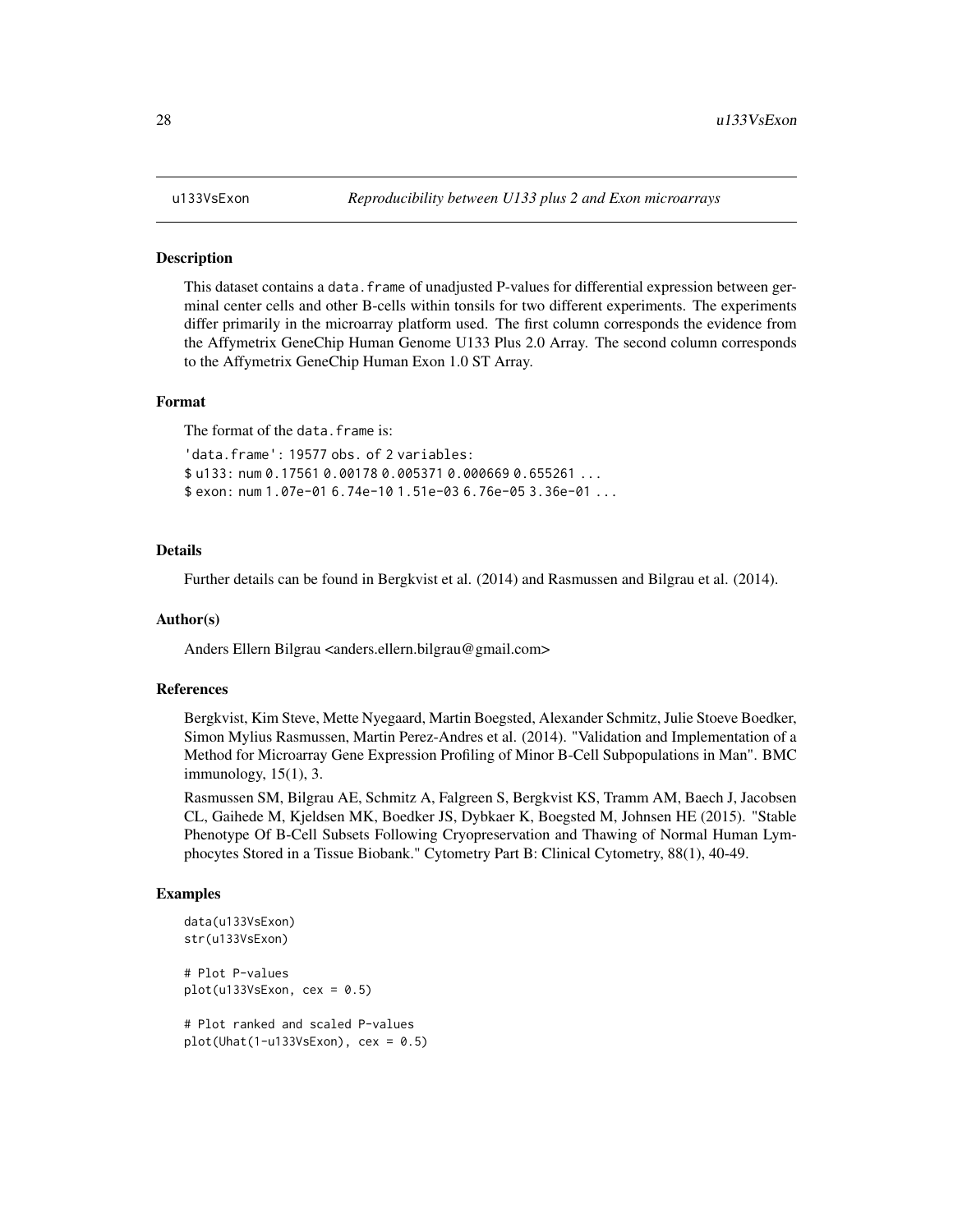#### <span id="page-27-0"></span>Description

This dataset contains a data. frame of unadjusted P-values for differential expression between germinal center cells and other B-cells within tonsils for two different experiments. The experiments differ primarily in the microarray platform used. The first column corresponds the evidence from the Affymetrix GeneChip Human Genome U133 Plus 2.0 Array. The second column corresponds to the Affymetrix GeneChip Human Exon 1.0 ST Array.

#### Format

The format of the data.frame is:

'data.frame': 19577 obs. of 2 variables: \$ u133: num 0.17561 0.00178 0.005371 0.000669 0.655261 ... \$ exon: num 1.07e-01 6.74e-10 1.51e-03 6.76e-05 3.36e-01 ...

#### Details

Further details can be found in Bergkvist et al. (2014) and Rasmussen and Bilgrau et al. (2014).

#### Author(s)

Anders Ellern Bilgrau <anders.ellern.bilgrau@gmail.com>

#### References

Bergkvist, Kim Steve, Mette Nyegaard, Martin Boegsted, Alexander Schmitz, Julie Stoeve Boedker, Simon Mylius Rasmussen, Martin Perez-Andres et al. (2014). "Validation and Implementation of a Method for Microarray Gene Expression Profiling of Minor B-Cell Subpopulations in Man". BMC immunology, 15(1), 3.

Rasmussen SM, Bilgrau AE, Schmitz A, Falgreen S, Bergkvist KS, Tramm AM, Baech J, Jacobsen CL, Gaihede M, Kjeldsen MK, Boedker JS, Dybkaer K, Boegsted M, Johnsen HE (2015). "Stable Phenotype Of B-Cell Subsets Following Cryopreservation and Thawing of Normal Human Lymphocytes Stored in a Tissue Biobank." Cytometry Part B: Clinical Cytometry, 88(1), 40-49.

```
data(u133VsExon)
str(u133VsExon)
# Plot P-values
plot(u133VsExon, cex = 0.5)# Plot ranked and scaled P-values
plot(Unit(1-u133VsExon), cex = 0.5)
```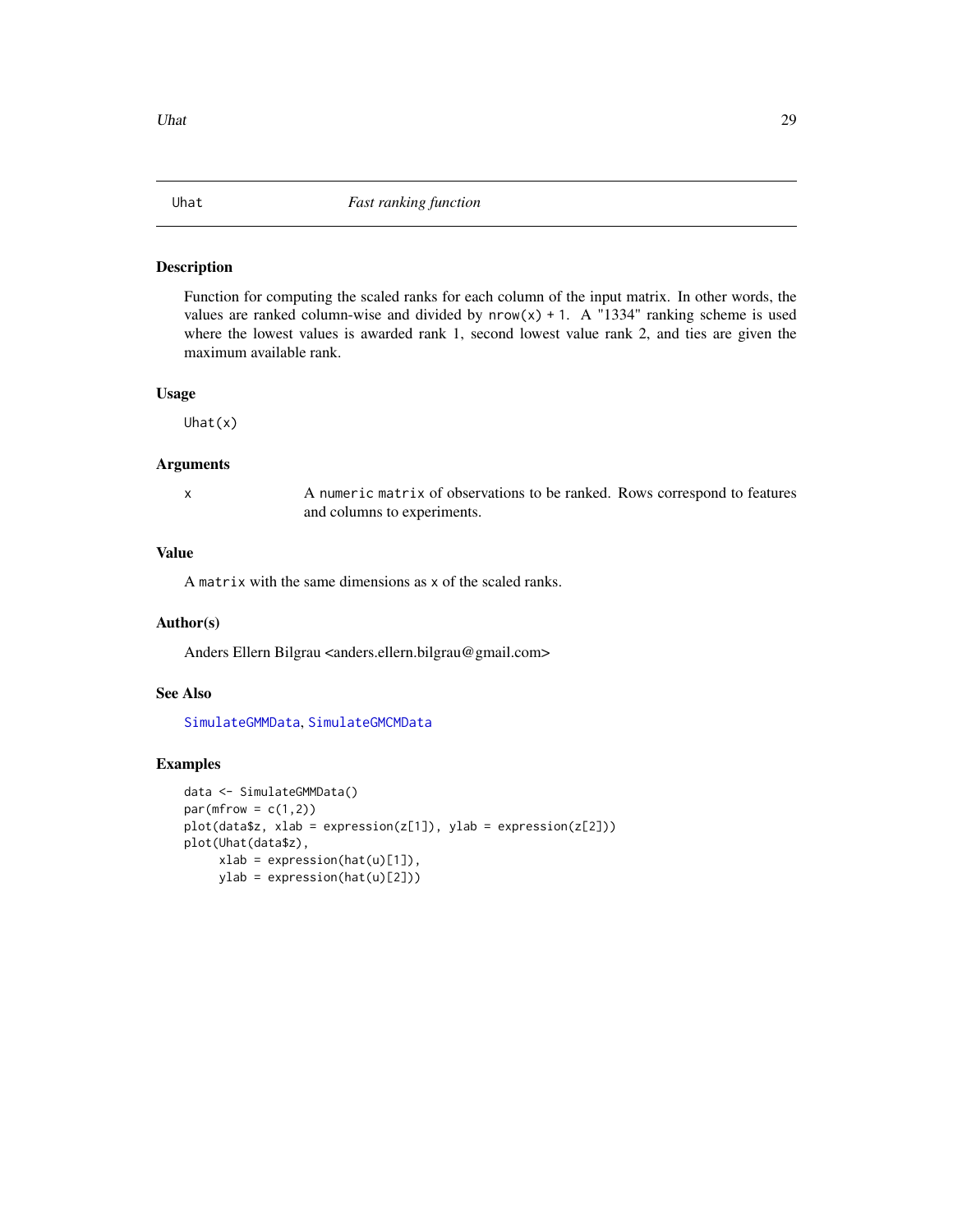<span id="page-28-1"></span><span id="page-28-0"></span>

# Description

Function for computing the scaled ranks for each column of the input matrix. In other words, the values are ranked column-wise and divided by  $nrow(x) + 1$ . A "1334" ranking scheme is used where the lowest values is awarded rank 1, second lowest value rank 2, and ties are given the maximum available rank.

# Usage

Uhat(x)

#### Arguments

x A numeric matrix of observations to be ranked. Rows correspond to features and columns to experiments.

# Value

A matrix with the same dimensions as x of the scaled ranks.

#### Author(s)

Anders Ellern Bilgrau <anders.ellern.bilgrau@gmail.com>

#### See Also

[SimulateGMMData](#page-24-2), [SimulateGMCMData](#page-24-1)

```
data <- SimulateGMMData()
par(mfrow = c(1,2))plot(data$z, xlab = expression(z[1]), ylab = expression(z[2]))
plot(Uhat(data$z),
     xlab = expression(hat(u)[1]),
     ylab = expression(hat(u)[2]))
```